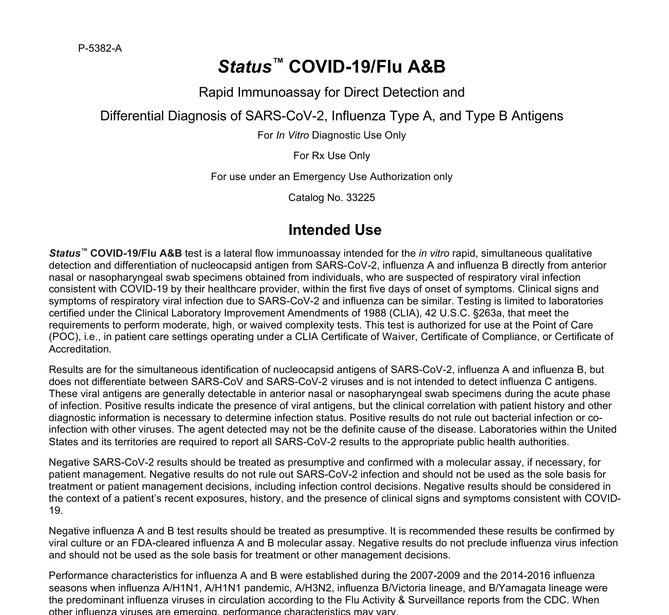P-5382-A

# *Status™* **COVID-19/Flu A&B**

## Rapid Immunoassay for Direct Detection and

## Differential Diagnosis of SARS-CoV-2, Influenza Type A, and Type B Antigens

For *In Vitro* Diagnostic Use Only

For Rx Use Only

For use under an Emergency Use Authorization only

Catalog No. 33225

# **Intended Use**

*Status™* **COVID-19/Flu A&B** test is a lateral flow immunoassay intended for the *in vitro* rapid, simultaneous qualitative detection and differentiation of nucleocapsid antigen from SARS-CoV-2, influenza A and influenza B directly from anterior nasal or nasopharyngeal swab specimens obtained from individuals, who are suspected of respiratory viral infection consistent with COVID-19 by their healthcare provider, within the first five days of onset of symptoms. Clinical signs and symptoms of respiratory viral infection due to SARS-CoV-2 and influenza can be similar. Testing is limited to laboratories certified under the Clinical Laboratory Improvement Amendments of 1988 (CLIA), 42 U.S.C. §263a, that meet the requirements to perform moderate, high, or waived complexity tests. This test is authorized for use at the Point of Care (POC), i.e., in patient care settings operating under a CLIA Certificate of Waiver, Certificate of Compliance, or Certificate of Accreditation.

Results are for the simultaneous identification of nucleocapsid antigens of SARS-CoV-2, influenza A and influenza B, but does not differentiate between SARS-CoV and SARS-CoV-2 viruses and is not intended to detect influenza C antigens. These viral antigens are generally detectable in anterior nasal or nasopharyngeal swab specimens during the acute phase of infection. Positive results indicate the presence of viral antigens, but the clinical correlation with patient history and other diagnostic information is necessary to determine infection status. Positive results do not rule out bacterial infection or coinfection with other viruses. The agent detected may not be the definite cause of the disease. Laboratories within the United States and its territories are required to report all SARS-CoV-2 results to the appropriate public health authorities.

Negative SARS-CoV-2 results should be treated as presumptive and confirmed with a molecular assay, if necessary, for patient management. Negative results do not rule out SARS-CoV-2 infection and should not be used as the sole basis for treatment or patient management decisions, including infection control decisions. Negative results should be considered in the context of a patient's recent exposures, history, and the presence of clinical signs and symptoms consistent with COVID-19.

Negative influenza A and B test results should be treated as presumptive. It is recommended these results be confirmed by viral culture or an FDA-cleared influenza A and B molecular assay. Negative results do not preclude influenza virus infection and should not be used as the sole basis for treatment or other management decisions.

Performance characteristics for influenza A and B were established during the 2007-2009 and the 2014-2016 influenza seasons when influenza A/H1N1, A/H1N1 pandemic, A/H3N2, influenza B/Victoria lineage, and B/Yamagata lineage were the predominant influenza viruses in circulation according to the Flu Activity & Surveillance reports from the CDC. When other influenza viruses are emerging, performance characteristics may vary.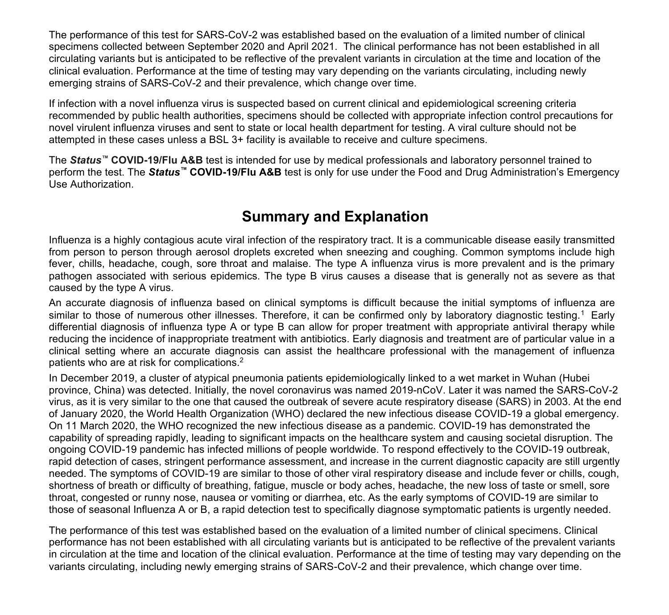The performance of this test for SARS-CoV-2 was established based on the evaluation of a limited number of clinical specimens collected between September 2020 and April 2021. The clinical performance has not been established in all circulating variants but is anticipated to be reflective of the prevalent variants in circulation at the time and location of the clinical evaluation. Performance at the time of testing may vary depending on the variants circulating, including newly emerging strains of SARS-CoV-2 and their prevalence, which change over time.

If infection with a novel influenza virus is suspected based on current clinical and epidemiological screening criteria recommended by public health authorities, specimens should be collected with appropriate infection control precautions for novel virulent influenza viruses and sent to state or local health department for testing. A viral culture should not be attempted in these cases unless a BSL 3+ facility is available to receive and culture specimens.

The *Status™* **COVID-19/Flu A&B** test is intended for use by medical professionals and laboratory personnel trained to perform the test. The *Status™* **COVID-19/Flu A&B** test is only for use under the Food and Drug Administration's Emergency Use Authorization.

# **Summary and Explanation**

Influenza is a highly contagious acute viral infection of the respiratory tract. It is a communicable disease easily transmitted from person to person through aerosol droplets excreted when sneezing and coughing. Common symptoms include high fever, chills, headache, cough, sore throat and malaise. The type A influenza virus is more prevalent and is the primary pathogen associated with serious epidemics. The type B virus causes a disease that is generally not as severe as that caused by the type A virus.

An accurate diagnosis of influenza based on clinical symptoms is difficult because the initial symptoms of influenza are similar to those of numerous other illnesses. Therefore, it can be confirmed only by laboratory diagnostic testing.<sup>1</sup> Early differential diagnosis of influenza type A or type B can allow for proper treatment with appropriate antiviral therapy while reducing the incidence of inappropriate treatment with antibiotics. Early diagnosis and treatment are of particular value in a clinical setting where an accurate diagnosis can assist the healthcare professional with the management of influenza patients who are at risk for complications.<sup>2</sup>

In December 2019, a cluster of atypical pneumonia patients epidemiologically linked to a wet market in Wuhan (Hubei province, China) was detected. Initially, the novel coronavirus was named 2019-nCoV. Later it was named the SARS-CoV-2 virus, as it is very similar to the one that caused the outbreak of severe acute respiratory disease (SARS) in 2003. At the end of January 2020, the World Health Organization (WHO) declared the new infectious disease COVID-19 a global emergency. On 11 March 2020, the WHO recognized the new infectious disease as a pandemic. COVID-19 has demonstrated the capability of spreading rapidly, leading to significant impacts on the healthcare system and causing societal disruption. The ongoing COVID-19 pandemic has infected millions of people worldwide. To respond effectively to the COVID-19 outbreak, rapid detection of cases, stringent performance assessment, and increase in the current diagnostic capacity are still urgently needed. The symptoms of COVID-19 are similar to those of other viral respiratory disease and include fever or chills, cough, shortness of breath or difficulty of breathing, fatigue, muscle or body aches, headache, the new loss of taste or smell, sore throat, congested or runny nose, nausea or vomiting or diarrhea, etc. As the early symptoms of COVID-19 are similar to those of seasonal Influenza A or B, a rapid detection test to specifically diagnose symptomatic patients is urgently needed.

The performance of this test was established based on the evaluation of a limited number of clinical specimens. Clinical performance has not been established with all circulating variants but is anticipated to be reflective of the prevalent variants in circulation at the time and location of the clinical evaluation. Performance at the time of testing may vary depending on the variants circulating, including newly emerging strains of SARS-CoV-2 and their prevalence, which change over time.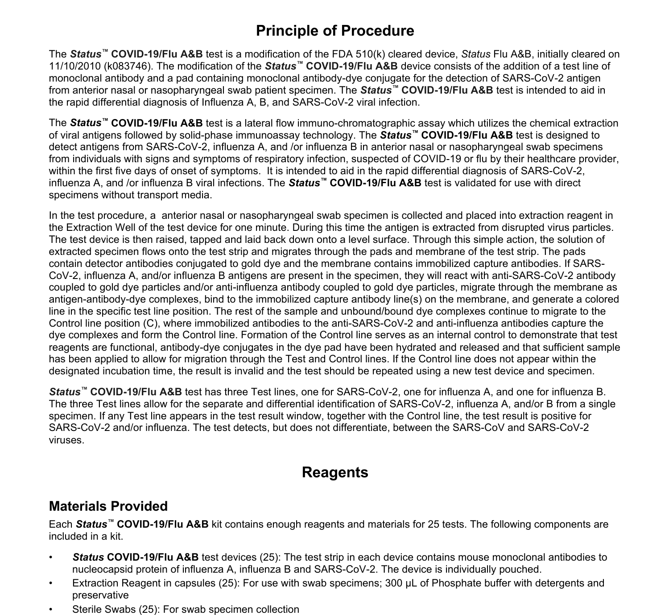# **Principle of Procedure**

The *Status™* **COVID-19/Flu A&B** test is a modification of the FDA 510(k) cleared device, *Status* Flu A&B, initially cleared on 11/10/2010 (k083746). The modification of the *Status™* **COVID-19/Flu A&B** device consists of the addition of a test line of monoclonal antibody and a pad containing monoclonal antibody-dye conjugate for the detection of SARS-CoV-2 antigen from anterior nasal or nasopharyngeal swab patient specimen. The *Status™* **COVID-19/Flu A&B** test is intended to aid in the rapid differential diagnosis of Influenza A, B, and SARS-CoV-2 viral infection.

The *Status™* **COVID-19/Flu A&B** test is a lateral flow immuno-chromatographic assay which utilizes the chemical extraction of viral antigens followed by solid-phase immunoassay technology. The *Status™* **COVID-19/Flu A&B** test is designed to detect antigens from SARS-CoV-2, influenza A, and /or influenza B in anterior nasal or nasopharyngeal swab specimens from individuals with signs and symptoms of respiratory infection, suspected of COVID-19 or flu by their healthcare provider, within the first five days of onset of symptoms. It is intended to aid in the rapid differential diagnosis of SARS-CoV-2, influenza A, and /or influenza B viral infections. The *Status™* **COVID-19/Flu A&B** test is validated for use with direct specimens without transport media.

In the test procedure, a anterior nasal or nasopharyngeal swab specimen is collected and placed into extraction reagent in the Extraction Well of the test device for one minute. During this time the antigen is extracted from disrupted virus particles. The test device is then raised, tapped and laid back down onto a level surface. Through this simple action, the solution of extracted specimen flows onto the test strip and migrates through the pads and membrane of the test strip. The pads contain detector antibodies conjugated to gold dye and the membrane contains immobilized capture antibodies. If SARS-CoV-2, influenza A, and/or influenza B antigens are present in the specimen, they will react with anti-SARS-CoV-2 antibody coupled to gold dye particles and/or anti-influenza antibody coupled to gold dye particles, migrate through the membrane as antigen-antibody-dye complexes, bind to the immobilized capture antibody line(s) on the membrane, and generate a colored line in the specific test line position. The rest of the sample and unbound/bound dye complexes continue to migrate to the Control line position (C), where immobilized antibodies to the anti-SARS-CoV-2 and anti-influenza antibodies capture the dye complexes and form the Control line. Formation of the Control line serves as an internal control to demonstrate that test reagents are functional, antibody-dye conjugates in the dye pad have been hydrated and released and that sufficient sample has been applied to allow for migration through the Test and Control lines. If the Control line does not appear within the designated incubation time, the result is invalid and the test should be repeated using a new test device and specimen.

*Status™* **COVID-19/Flu A&B** test has three Test lines, one for SARS-CoV-2, one for influenza A, and one for influenza B. The three Test lines allow for the separate and differential identification of SARS-CoV-2, influenza A, and/or B from a single specimen. If any Test line appears in the test result window, together with the Control line, the test result is positive for SARS-CoV-2 and/or influenza. The test detects, but does not differentiate, between the SARS-CoV and SARS-CoV-2 viruses.

# **Reagents**

## **Materials Provided**

Each *Status™* **COVID-19/Flu A&B** kit contains enough reagents and materials for 25 tests. The following components are included in a kit.

- *Status* **COVID-19/Flu A&B** test devices (25): The test strip in each device contains mouse monoclonal antibodies to nucleocapsid protein of influenza A, influenza B and SARS-CoV-2. The device is individually pouched.
- Extraction Reagent in capsules (25): For use with swab specimens; 300 µL of Phosphate buffer with detergents and preservative
- Sterile Swabs (25): For swab specimen collection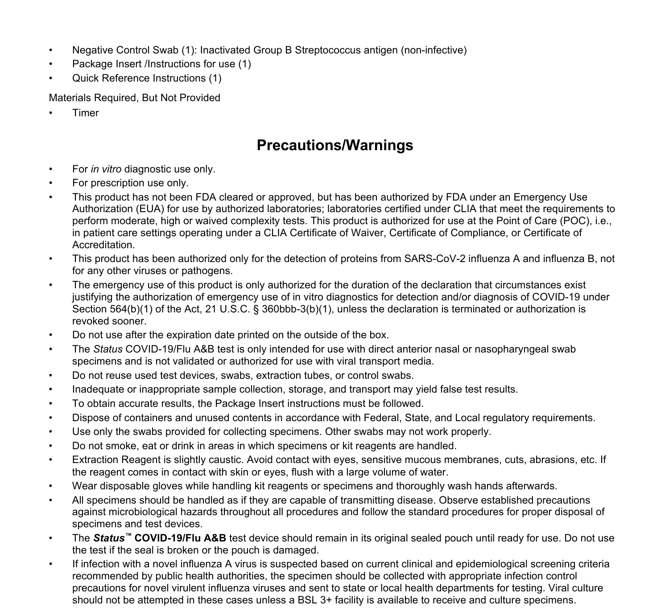- Negative Control Swab (1): Inactivated Group B Streptococcus antigen (non-infective)
- Package Insert /Instructions for use (1)
- Quick Reference Instructions (1)

Materials Required, But Not Provided

**Timer** 

# **Precautions/Warnings**

- For *in vitro* diagnostic use only.
- For prescription use only.
- This product has not been FDA cleared or approved, but has been authorized by FDA under an Emergency Use Authorization (EUA) for use by authorized laboratories; laboratories certified under CLIA that meet the requirements to perform moderate, high or waived complexity tests. This product is authorized for use at the Point of Care (POC), i.e., in patient care settings operating under a CLIA Certificate of Waiver, Certificate of Compliance, or Certificate of Accreditation.
- This product has been authorized only for the detection of proteins from SARS-CoV-2 influenza A and influenza B, not for any other viruses or pathogens.
- The emergency use of this product is only authorized for the duration of the declaration that circumstances exist justifying the authorization of emergency use of in vitro diagnostics for detection and/or diagnosis of COVID-19 under Section 564(b)(1) of the Act, 21 U.S.C. § 360bbb-3(b)(1), unless the declaration is terminated or authorization is revoked sooner.
- Do not use after the expiration date printed on the outside of the box.
- The *Status* COVID-19/Flu A&B test is only intended for use with direct anterior nasal or nasopharyngeal swab specimens and is not validated or authorized for use with viral transport media.
- Do not reuse used test devices, swabs, extraction tubes, or control swabs.
- Inadequate or inappropriate sample collection, storage, and transport may yield false test results.
- To obtain accurate results, the Package Insert instructions must be followed.
- Dispose of containers and unused contents in accordance with Federal, State, and Local regulatory requirements.
- Use only the swabs provided for collecting specimens. Other swabs may not work properly.
- Do not smoke, eat or drink in areas in which specimens or kit reagents are handled.
- Extraction Reagent is slightly caustic. Avoid contact with eyes, sensitive mucous membranes, cuts, abrasions, etc. If the reagent comes in contact with skin or eyes, flush with a large volume of water.
- Wear disposable gloves while handling kit reagents or specimens and thoroughly wash hands afterwards.
- All specimens should be handled as if they are capable of transmitting disease. Observe established precautions against microbiological hazards throughout all procedures and follow the standard procedures for proper disposal of specimens and test devices.
- The *Status™* **COVID-19/Flu A&B** test device should remain in its original sealed pouch until ready for use. Do not use the test if the seal is broken or the pouch is damaged.
- If infection with a novel influenza A virus is suspected based on current clinical and epidemiological screening criteria recommended by public health authorities, the specimen should be collected with appropriate infection control precautions for novel virulent influenza viruses and sent to state or local health departments for testing. Viral culture should not be attempted in these cases unless a BSL 3+ facility is available to receive and culture specimens.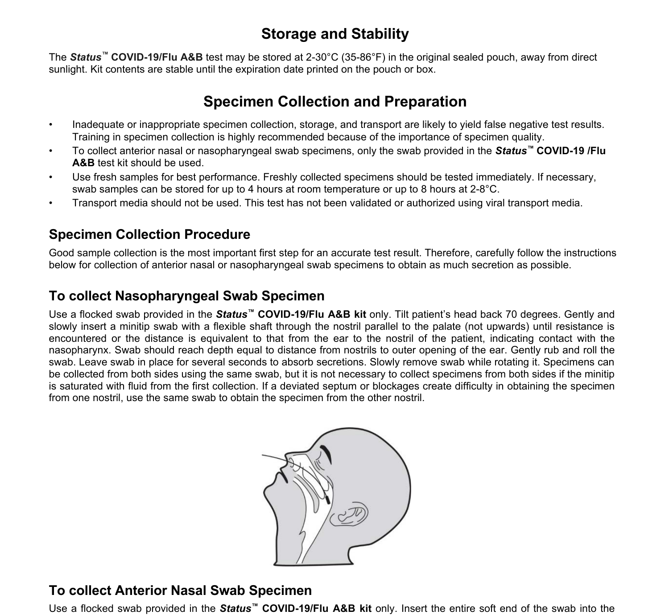# **Storage and Stability**

The *Status™* **COVID-19/Flu A&B** test may be stored at 2-30°C (35-86°F) in the original sealed pouch, away from direct sunlight. Kit contents are stable until the expiration date printed on the pouch or box.

# **Specimen Collection and Preparation**

- Inadequate or inappropriate specimen collection, storage, and transport are likely to yield false negative test results. Training in specimen collection is highly recommended because of the importance of specimen quality.
- To collect anterior nasal or nasopharyngeal swab specimens, only the swab provided in the *Status™* **COVID-19 /Flu A&B** test kit should be used.
- Use fresh samples for best performance. Freshly collected specimens should be tested immediately. If necessary, swab samples can be stored for up to 4 hours at room temperature or up to 8 hours at 2-8°C.
- Transport media should not be used. This test has not been validated or authorized using viral transport media.

## **Specimen Collection Procedure**

Good sample collection is the most important first step for an accurate test result. Therefore, carefully follow the instructions below for collection of anterior nasal or nasopharyngeal swab specimens to obtain as much secretion as possible.

## **To collect Nasopharyngeal Swab Specimen**

Use a flocked swab provided in the *Status™* **COVID-19/Flu A&B kit** only. Tilt patient's head back 70 degrees. Gently and slowly insert a minitip swab with a flexible shaft through the nostril parallel to the palate (not upwards) until resistance is encountered or the distance is equivalent to that from the ear to the nostril of the patient, indicating contact with the nasopharynx. Swab should reach depth equal to distance from nostrils to outer opening of the ear. Gently rub and roll the swab. Leave swab in place for several seconds to absorb secretions. Slowly remove swab while rotating it. Specimens can be collected from both sides using the same swab, but it is not necessary to collect specimens from both sides if the minitip is saturated with fluid from the first collection. If a deviated septum or blockages create difficulty in obtaining the specimen from one nostril, use the same swab to obtain the specimen from the other nostril.



## **To collect Anterior Nasal Swab Specimen**

Use a flocked swab provided in the *Status™* **COVID-19/Flu A&B kit** only. Insert the entire soft end of the swab into the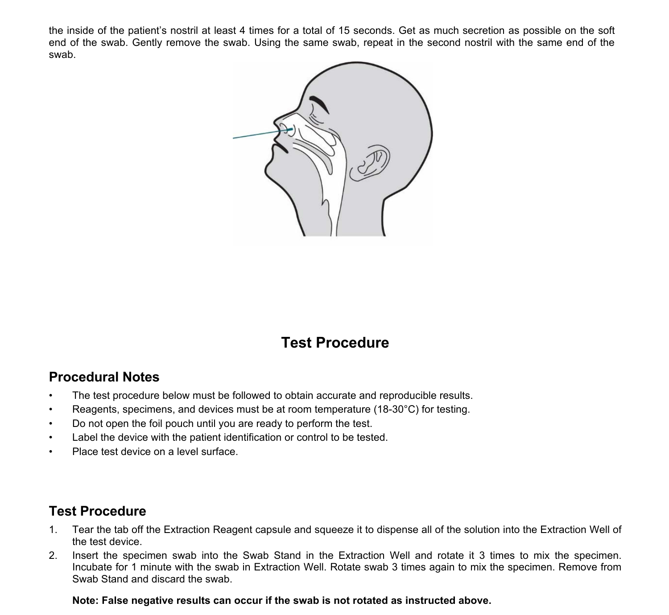the inside of the patient's nostril at least 4 times for a total of 15 seconds. Get as much secretion as possible on the soft end of the swab. Gently remove the swab. Using the same swab, repeat in the second nostril with the same end of the swab.



# **Test Procedure**

## **Procedural Notes**

- The test procedure below must be followed to obtain accurate and reproducible results.
- Reagents, specimens, and devices must be at room temperature (18-30°C) for testing.
- Do not open the foil pouch until you are ready to perform the test.
- Label the device with the patient identification or control to be tested.
- Place test device on a level surface.

## **Test Procedure**

- 1. Tear the tab off the Extraction Reagent capsule and squeeze it to dispense all of the solution into the Extraction Well of the test device.
- 2. Insert the specimen swab into the Swab Stand in the Extraction Well and rotate it 3 times to mix the specimen. Incubate for 1 minute with the swab in Extraction Well. Rotate swab 3 times again to mix the specimen. Remove from Swab Stand and discard the swab.

**Note: False negative results can occur if the swab is not rotated as instructed above.**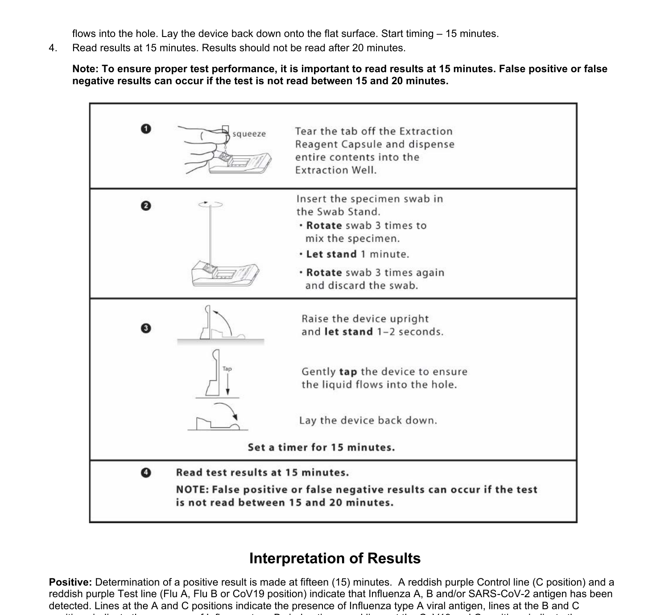flows into the hole. Lay the device back down onto the flat surface. Start timing – 15 minutes.

4. Read results at 15 minutes. Results should not be read after 20 minutes.

**Note: To ensure proper test performance, it is important to read results at 15 minutes. False positive or false negative results can occur if the test is not read between 15 and 20 minutes.**



# **Interpretation of Results**

**Positive:** Determination of a positive result is made at fifteen (15) minutes. A reddish purple Control line (C position) and a reddish purple Test line (Flu A, Flu B or CoV19 position) indicate that Influenza A, B and/or SARS-CoV-2 antigen has been detected. Lines at the A and C positions indicate the presence of Influenza type A viral antigen, lines at the B and C positions indicate the presence of Influenza type B viral antigen, and lines at the CoV19 and C positions indicate the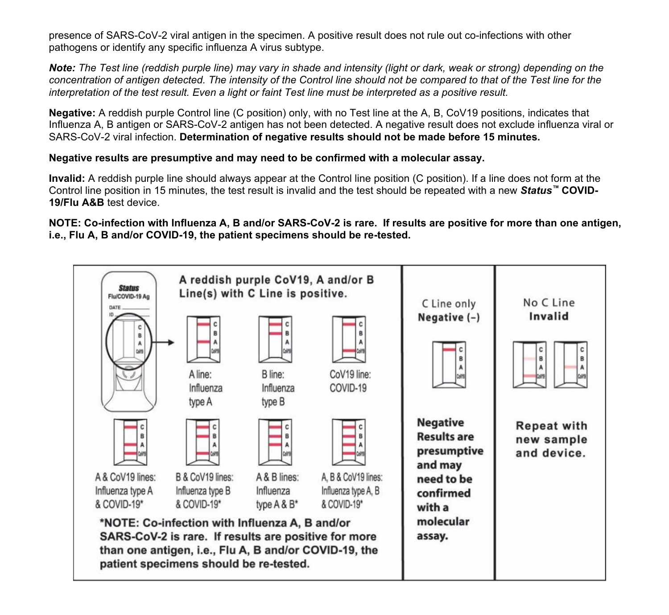presence of SARS-CoV-2 viral antigen in the specimen. A positive result does not rule out co-infections with other pathogens or identify any specific influenza A virus subtype.

*Note: The Test line (reddish purple line) may vary in shade and intensity (light or dark, weak or strong) depending on the concentration of antigen detected. The intensity of the Control line should not be compared to that of the Test line for the interpretation of the test result. Even a light or faint Test line must be interpreted as a positive result.*

**Negative:** A reddish purple Control line (C position) only, with no Test line at the A, B, CoV19 positions, indicates that Influenza A, B antigen or SARS-CoV-2 antigen has not been detected. A negative result does not exclude influenza viral or SARS-CoV-2 viral infection. **Determination of negative results should not be made before 15 minutes.**

#### **Negative results are presumptive and may need to be confirmed with a molecular assay.**

**Invalid:** A reddish purple line should always appear at the Control line position (C position). If a line does not form at the Control line position in 15 minutes, the test result is invalid and the test should be repeated with a new *Status™* **COVID-19/Flu A&B** test device.

#### **NOTE: Co-infection with Influenza A, B and/or SARS-CoV-2 is rare. If results are positive for more than one antigen, i.e., Flu A, B and/or COVID-19, the patient specimens should be re-tested.**

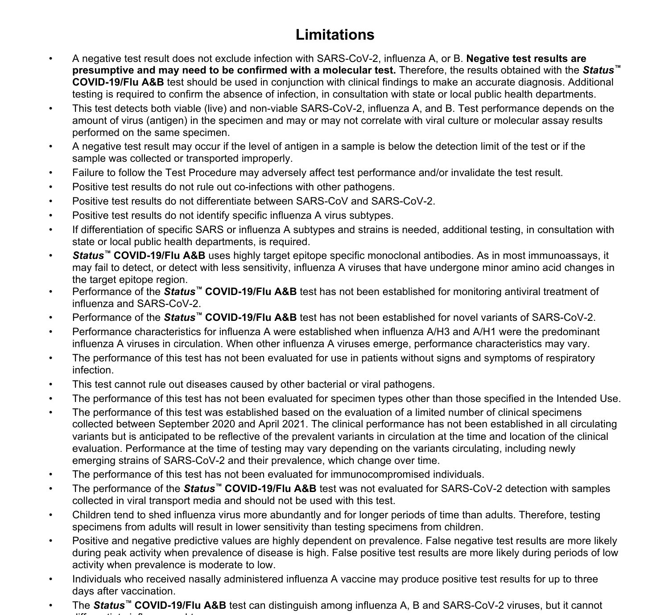# **Limitations**

- A negative test result does not exclude infection with SARS-CoV-2, influenza A, or B. **Negative test results are presumptive and may need to be confirmed with a molecular test.** Therefore, the results obtained with the *Status™* **COVID-19/Flu A&B** test should be used in conjunction with clinical findings to make an accurate diagnosis. Additional testing is required to confirm the absence of infection, in consultation with state or local public health departments.
- This test detects both viable (live) and non-viable SARS-CoV-2, influenza A, and B. Test performance depends on the amount of virus (antigen) in the specimen and may or may not correlate with viral culture or molecular assay results performed on the same specimen.
- A negative test result may occur if the level of antigen in a sample is below the detection limit of the test or if the sample was collected or transported improperly.
- Failure to follow the Test Procedure may adversely affect test performance and/or invalidate the test result.
- Positive test results do not rule out co-infections with other pathogens.
- Positive test results do not differentiate between SARS-CoV and SARS-CoV-2.
- Positive test results do not identify specific influenza A virus subtypes.
- If differentiation of specific SARS or influenza A subtypes and strains is needed, additional testing, in consultation with state or local public health departments, is required.
- *Status™* **COVID-19/Flu A&B** uses highly target epitope specific monoclonal antibodies. As in most immunoassays, it may fail to detect, or detect with less sensitivity, influenza A viruses that have undergone minor amino acid changes in the target epitope region.
- Performance of the *Status™* **COVID-19/Flu A&B** test has not been established for monitoring antiviral treatment of influenza and SARS-CoV-2.
- Performance of the *Status™* **COVID-19/Flu A&B** test has not been established for novel variants of SARS-CoV-2.
- Performance characteristics for influenza A were established when influenza A/H3 and A/H1 were the predominant influenza A viruses in circulation. When other influenza A viruses emerge, performance characteristics may vary.
- The performance of this test has not been evaluated for use in patients without signs and symptoms of respiratory infection.
- This test cannot rule out diseases caused by other bacterial or viral pathogens.
- The performance of this test has not been evaluated for specimen types other than those specified in the Intended Use.
- The performance of this test was established based on the evaluation of a limited number of clinical specimens collected between September 2020 and April 2021. The clinical performance has not been established in all circulating variants but is anticipated to be reflective of the prevalent variants in circulation at the time and location of the clinical evaluation. Performance at the time of testing may vary depending on the variants circulating, including newly emerging strains of SARS-CoV-2 and their prevalence, which change over time.
- The performance of this test has not been evaluated for immunocompromised individuals.
- The performance of the *Status™* **COVID-19/Flu A&B** test was not evaluated for SARS-CoV-2 detection with samples collected in viral transport media and should not be used with this test.
- Children tend to shed influenza virus more abundantly and for longer periods of time than adults. Therefore, testing specimens from adults will result in lower sensitivity than testing specimens from children.
- Positive and negative predictive values are highly dependent on prevalence. False negative test results are more likely during peak activity when prevalence of disease is high. False positive test results are more likely during periods of low activity when prevalence is moderate to low.
- Individuals who received nasally administered influenza A vaccine may produce positive test results for up to three days after vaccination.
- The *Status™* **COVID-19/Flu A&B** test can distinguish among influenza A, B and SARS-CoV-2 viruses, but it cannot differentiate influenza subtypes. In the substitution of the substitution of the subtypes of the subtypes of t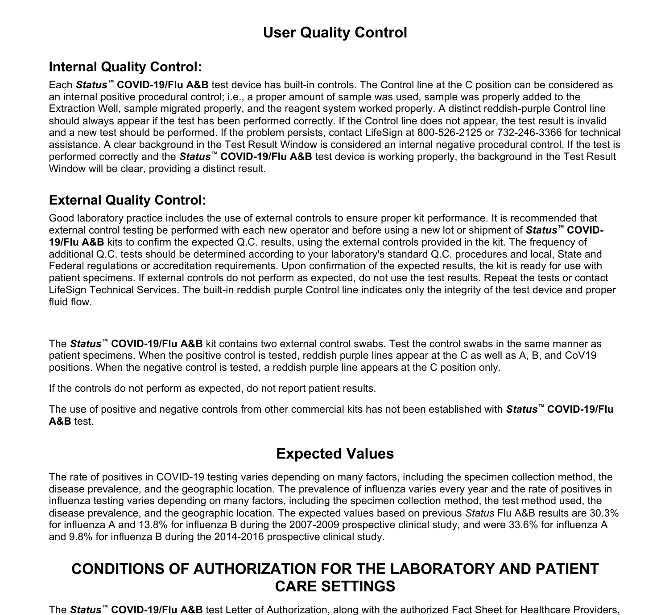# **User Quality Control**

## **Internal Quality Control:**

Each *Status™* **COVID-19/Flu A&B** test device has built-in controls. The Control line at the C position can be considered as an internal positive procedural control; i.e., a proper amount of sample was used, sample was properly added to the Extraction Well, sample migrated properly, and the reagent system worked properly. A distinct reddish-purple Control line should always appear if the test has been performed correctly. If the Control line does not appear, the test result is invalid and a new test should be performed. If the problem persists, contact LifeSign at 800-526-2125 or 732-246-3366 for technical assistance. A clear background in the Test Result Window is considered an internal negative procedural control. If the test is performed correctly and the *Status™* **COVID-19/Flu A&B** test device is working properly, the background in the Test Result Window will be clear, providing a distinct result.

## **External Quality Control:**

Good laboratory practice includes the use of external controls to ensure proper kit performance. It is recommended that external control testing be performed with each new operator and before using a new lot or shipment of *Status™* **COVID-19/Flu A&B** kits to confirm the expected Q.C. results, using the external controls provided in the kit. The frequency of additional Q.C. tests should be determined according to your laboratory's standard Q.C. procedures and local, State and Federal regulations or accreditation requirements. Upon confirmation of the expected results, the kit is ready for use with patient specimens. If external controls do not perform as expected, do not use the test results. Repeat the tests or contact LifeSign Technical Services. The built-in reddish purple Control line indicates only the integrity of the test device and proper fluid flow.

The *Status***™ COVID-19/Flu A&B** kit contains two external control swabs. Test the control swabs in the same manner as patient specimens. When the positive control is tested, reddish purple lines appear at the C as well as A, B, and CoV19 positions. When the negative control is tested, a reddish purple line appears at the C position only.

If the controls do not perform as expected, do not report patient results.

The use of positive and negative controls from other commercial kits has not been established with *Status™* **COVID-19/Flu A&B** test.

# **Expected Values**

The rate of positives in COVID-19 testing varies depending on many factors, including the specimen collection method, the disease prevalence, and the geographic location. The prevalence of influenza varies every year and the rate of positives in influenza testing varies depending on many factors, including the specimen collection method, the test method used, the disease prevalence, and the geographic location. The expected values based on previous *Status* Flu A&B results are 30.3% for influenza A and 13.8% for influenza B during the 2007-2009 prospective clinical study, and were 33.6% for influenza A and 9.8% for influenza B during the 2014-2016 prospective clinical study.

## **CONDITIONS OF AUTHORIZATION FOR THE LABORATORY AND PATIENT CARE SETTINGS**

The *Status***™ COVID-19/Flu A&B** test Letter of Authorization, along with the authorized Fact Sheet for Healthcare Providers,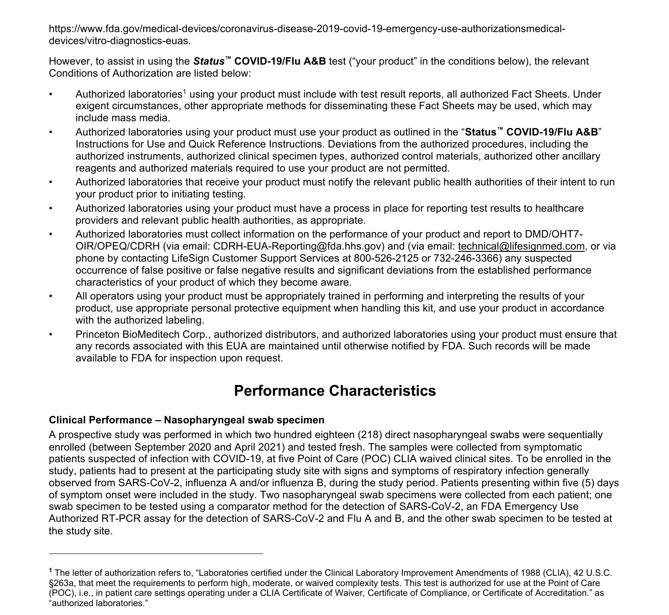https://www.fda.gov/medical-devices/coronavirus-disease-2019-covid-19-emergency-use-authorizationsmedicaldevices/vitro-diagnostics-euas.

However, to assist in using the *Status***™ COVID-19/Flu A&B** test ("your product" in the conditions below), the relevant Conditions of Authorization are listed below:

- Authorized laboratories<sup>1</sup> using your product must include with test result reports, all authorized Fact Sheets. Under exigent circumstances, other appropriate methods for disseminating these Fact Sheets may be used, which may include mass media.
- Authorized laboratories using your product must use your product as outlined in the "**Status™ COVID-19/Flu A&B**" Instructions for Use and Quick Reference Instructions. Deviations from the authorized procedures, including the authorized instruments, authorized clinical specimen types, authorized control materials, authorized other ancillary reagents and authorized materials required to use your product are not permitted.
- Authorized laboratories that receive your product must notify the relevant public health authorities of their intent to run your product prior to initiating testing.
- Authorized laboratories using your product must have a process in place for reporting test results to healthcare providers and relevant public health authorities, as appropriate.
- Authorized laboratories must collect information on the performance of your product and report to DMD/OHT7- OIR/OPEQ/CDRH (via email: CDRH-EUA-Reporting@fda.hhs.gov) and (via email: technical@lifesignmed.com, or via phone by contacting LifeSign Customer Support Services at 800-526-2125 or 732-246-3366) any suspected occurrence of false positive or false negative results and significant deviations from the established performance characteristics of your product of which they become aware.
- All operators using your product must be appropriately trained in performing and interpreting the results of your product, use appropriate personal protective equipment when handling this kit, and use your product in accordance with the authorized labeling.
- Princeton BioMeditech Corp., authorized distributors, and authorized laboratories using your product must ensure that any records associated with this EUA are maintained until otherwise notified by FDA. Such records will be made available to FDA for inspection upon request.

# **Performance Characteristics**

## **Clinical Performance – Nasopharyngeal swab specimen**

A prospective study was performed in which two hundred eighteen (218) direct nasopharyngeal swabs were sequentially enrolled (between September 2020 and April 2021) and tested fresh. The samples were collected from symptomatic patients suspected of infection with COVID-19, at five Point of Care (POC) CLIA waived clinical sites. To be enrolled in the study, patients had to present at the participating study site with signs and symptoms of respiratory infection generally observed from SARS-CoV-2, influenza A and/or influenza B, during the study period. Patients presenting within five (5) days of symptom onset were included in the study. Two nasopharyngeal swab specimens were collected from each patient; one swab specimen to be tested using a comparator method for the detection of SARS-CoV-2, an FDA Emergency Use Authorized RT-PCR assay for the detection of SARS-CoV-2 and Flu A and B, and the other swab specimen to be tested at the study site.

**<sup>1</sup>** The letter of authorization refers to, "Laboratories certified under the Clinical Laboratory Improvement Amendments of 1988 (CLIA), 42 U.S.C. §263a, that meet the requirements to perform high, moderate, or waived complexity tests. This test is authorized for use at the Point of Care (POC), i.e., in patient care settings operating under a CLIA Certificate of Waiver, Certificate of Compliance, or Certificate of Accreditation." as "authorized laboratories."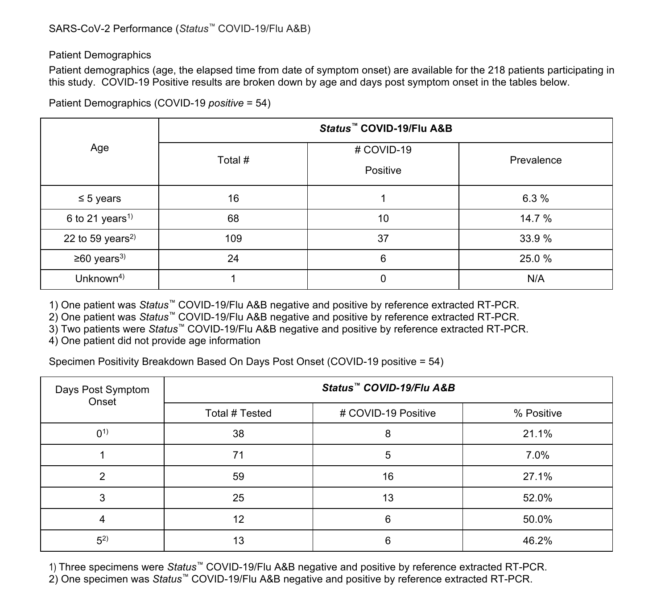#### Patient Demographics

Patient demographics (age, the elapsed time from date of symptom onset) are available for the 218 patients participating in this study. COVID-19 Positive results are broken down by age and days post symptom onset in the tables below.

|                               | Status™ COVID-19/Flu A&B |                        |            |  |  |
|-------------------------------|--------------------------|------------------------|------------|--|--|
| Age                           | Total #                  | # COVID-19<br>Positive | Prevalence |  |  |
| $\leq 5$ years                | 16                       |                        | 6.3%       |  |  |
| 6 to 21 years <sup>1)</sup>   | 68                       | 10                     | 14.7 %     |  |  |
| 22 to 59 years <sup>2)</sup>  | 109                      | 37                     | 33.9%      |  |  |
| $\geq 60$ years <sup>3)</sup> | 24                       | 6                      | 25.0%      |  |  |
| Unknown $4$ )                 |                          | $\Omega$               | N/A        |  |  |

Patient Demographics (COVID-19 *positive* = 54)

1) One patient was *Status™* COVID-19/Flu A&B negative and positive by reference extracted RT-PCR.

2) One patient was *Status™* COVID-19/Flu A&B negative and positive by reference extracted RT-PCR.

3) Two patients were *Status™* COVID-19/Flu A&B negative and positive by reference extracted RT-PCR.

4) One patient did not provide age information

Specimen Positivity Breakdown Based On Days Post Onset (COVID-19 positive = 54)

| Days Post Symptom<br>Onset | Status™ COVID-19/Flu A&B |                     |            |  |  |
|----------------------------|--------------------------|---------------------|------------|--|--|
|                            | Total # Tested           | # COVID-19 Positive | % Positive |  |  |
| $0^{1}$                    | 38                       | 8                   | 21.1%      |  |  |
|                            | 71                       | 5                   | 7.0%       |  |  |
| っ                          | 59                       | 16                  | 27.1%      |  |  |
| 3                          | 25                       | 13                  | 52.0%      |  |  |
|                            | 12                       | 6                   | 50.0%      |  |  |
| $5^{2}$                    | 13                       | 6                   | 46.2%      |  |  |

1) Three specimens were *Status™* COVID-19/Flu A&B negative and positive by reference extracted RT-PCR.

2) One specimen was *Status™* COVID-19/Flu A&B negative and positive by reference extracted RT-PCR.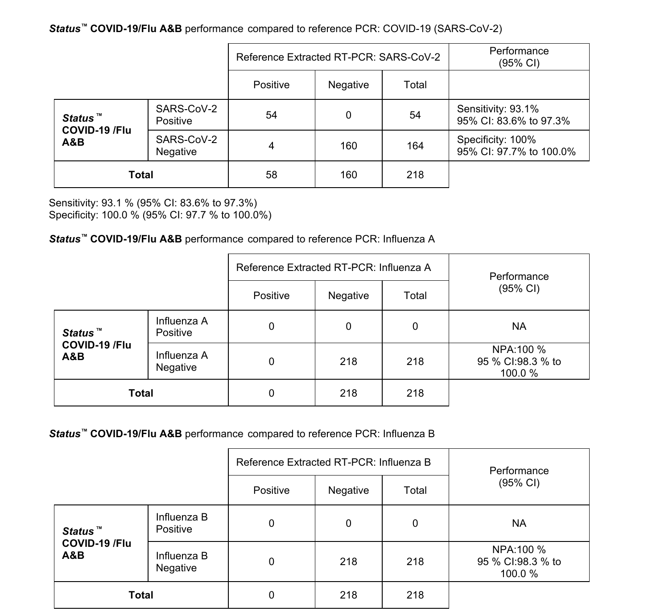## *Status™* **COVID-19/Flu A&B** performance compared to reference PCR: COVID-19 (SARS-CoV-2)

|                                 |                        | Reference Extracted RT-PCR: SARS-CoV-2 |          |       | Performance<br>(95% CI)                      |
|---------------------------------|------------------------|----------------------------------------|----------|-------|----------------------------------------------|
|                                 |                        | Positive                               | Negative | Total |                                              |
| Status™<br>COVID-19 /Flu<br>A&B | SARS-CoV-2<br>Positive | 54                                     | 0        | 54    | Sensitivity: 93.1%<br>95% CI: 83.6% to 97.3% |
|                                 | SARS-CoV-2<br>Negative | 4                                      | 160      | 164   | Specificity: 100%<br>95% CI: 97.7% to 100.0% |
| Total                           |                        | 58                                     | 160      | 218   |                                              |

Sensitivity: 93.1 % (95% CI: 83.6% to 97.3%) Specificity: 100.0 % (95% CI: 97.7 % to 100.0%)

## *Status™* **COVID-19/Flu A&B** performance compared to reference PCR: Influenza A

|  |                                 |                         | Reference Extracted RT-PCR: Influenza A |          | Performance |                                           |
|--|---------------------------------|-------------------------|-----------------------------------------|----------|-------------|-------------------------------------------|
|  |                                 |                         | Positive                                | Negative | Total       | (95% CI)                                  |
|  | Status™<br>COVID-19 /Flu<br>A&B | Influenza A<br>Positive | 0                                       | 0        | 0           | <b>NA</b>                                 |
|  |                                 | Influenza A<br>Negative | $\Omega$                                | 218      | 218         | NPA:100 %<br>95 % CI:98.3 % to<br>100.0 % |
|  | Total                           |                         | 0                                       | 218      | 218         |                                           |

*Status™* **COVID-19/Flu A&B** performance compared to reference PCR: Influenza B

|                                 |                         | Reference Extracted RT-PCR: Influenza B |          | Performance |                                           |
|---------------------------------|-------------------------|-----------------------------------------|----------|-------------|-------------------------------------------|
|                                 |                         | Positive                                | Negative | Total       | (95% CI)                                  |
| Status™<br>COVID-19 /Flu<br>A&B | Influenza B<br>Positive | 0                                       | 0        | 0           | <b>NA</b>                                 |
|                                 | Influenza B<br>Negative | 0                                       | 218      | 218         | NPA:100 %<br>95 % CI:98.3 % to<br>100.0 % |
| <b>Total</b>                    |                         | 0                                       | 218      | 218         |                                           |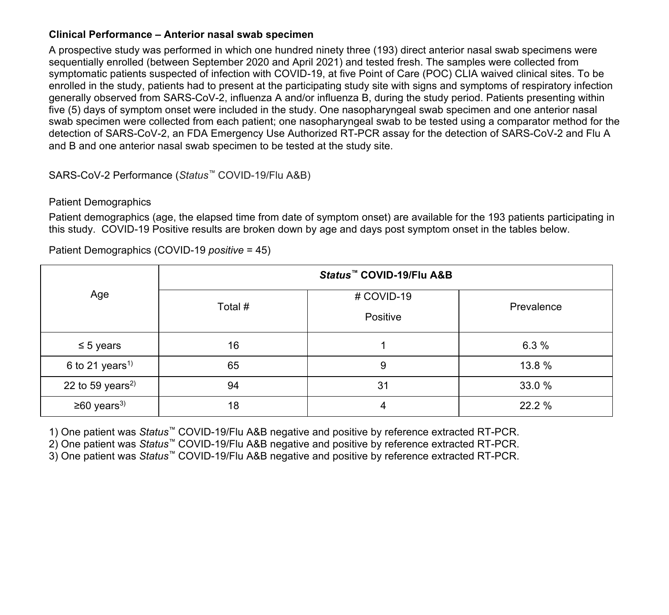### **Clinical Performance – Anterior nasal swab specimen**

A prospective study was performed in which one hundred ninety three (193) direct anterior nasal swab specimens were sequentially enrolled (between September 2020 and April 2021) and tested fresh. The samples were collected from symptomatic patients suspected of infection with COVID-19, at five Point of Care (POC) CLIA waived clinical sites. To be enrolled in the study, patients had to present at the participating study site with signs and symptoms of respiratory infection generally observed from SARS-CoV-2, influenza A and/or influenza B, during the study period. Patients presenting within five (5) days of symptom onset were included in the study. One nasopharyngeal swab specimen and one anterior nasal swab specimen were collected from each patient; one nasopharyngeal swab to be tested using a comparator method for the detection of SARS-CoV-2, an FDA Emergency Use Authorized RT-PCR assay for the detection of SARS-CoV-2 and Flu A and B and one anterior nasal swab specimen to be tested at the study site.

SARS-CoV-2 Performance (*Status™* COVID-19/Flu A&B)

### Patient Demographics

Patient demographics (age, the elapsed time from date of symptom onset) are available for the 193 patients participating in this study. COVID-19 Positive results are broken down by age and days post symptom onset in the tables below.

|                               | Status™ COVID-19/Flu A&B |                        |            |  |  |  |
|-------------------------------|--------------------------|------------------------|------------|--|--|--|
| Age                           | Total #                  | # COVID-19<br>Positive | Prevalence |  |  |  |
| $\leq 5$ years                | 16                       |                        | 6.3%       |  |  |  |
| $6$ to 21 years <sup>1)</sup> | 65                       | 9                      | 13.8%      |  |  |  |
| 22 to 59 years <sup>2)</sup>  | 94                       | 31                     | 33.0%      |  |  |  |
| $\geq 60$ years <sup>3)</sup> | 18                       |                        | 22.2 %     |  |  |  |

Patient Demographics (COVID-19 *positive* = 45)

1) One patient was *Status™* COVID-19/Flu A&B negative and positive by reference extracted RT-PCR.

2) One patient was *Status™* COVID-19/Flu A&B negative and positive by reference extracted RT-PCR.

3) One patient was *Status™* COVID-19/Flu A&B negative and positive by reference extracted RT-PCR.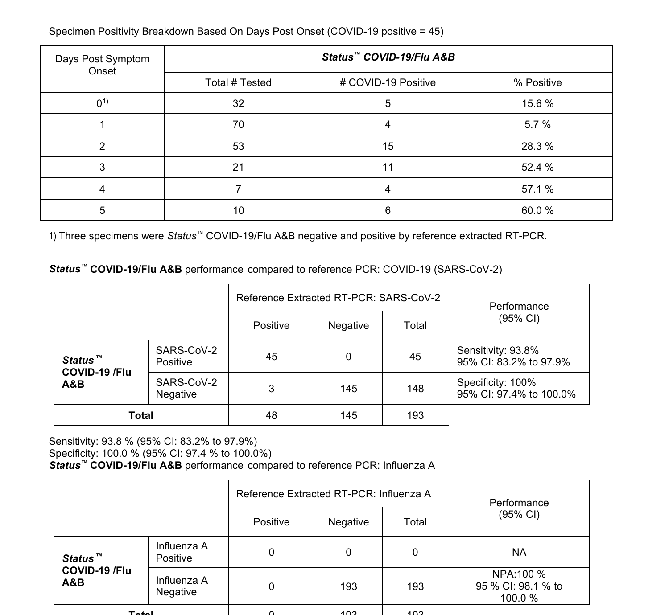| Days Post Symptom | Status™ COVID-19/Flu A&B |                     |            |  |  |
|-------------------|--------------------------|---------------------|------------|--|--|
| Onset             | Total # Tested           | # COVID-19 Positive | % Positive |  |  |
| $0^{1}$           | 32                       | 5                   | 15.6%      |  |  |
|                   | 70                       |                     | 5.7%       |  |  |
| າ                 | 53                       | 15                  | 28.3%      |  |  |
| 3                 | 21                       | 11                  | 52.4 %     |  |  |
|                   |                          |                     | 57.1%      |  |  |
| 5                 | 10                       | 6                   | 60.0%      |  |  |

Specimen Positivity Breakdown Based On Days Post Onset (COVID-19 positive = 45)

1) Three specimens were *Status™* COVID-19/Flu A&B negative and positive by reference extracted RT-PCR.

*Status™* **COVID-19/Flu A&B** performance compared to reference PCR: COVID-19 (SARS-CoV-2)

|                                 |                        | Reference Extracted RT-PCR: SARS-CoV-2 |          | Performance |                                              |
|---------------------------------|------------------------|----------------------------------------|----------|-------------|----------------------------------------------|
|                                 |                        | Positive                               | Negative | Total       | (95% CI)                                     |
| Status™<br>COVID-19 /Flu<br>A&B | SARS-CoV-2<br>Positive | 45                                     | 0        | 45          | Sensitivity: 93.8%<br>95% CI: 83.2% to 97.9% |
|                                 | SARS-CoV-2<br>Negative | 3                                      | 145      | 148         | Specificity: 100%<br>95% CI: 97.4% to 100.0% |
| Total                           |                        | 48                                     | 145      | 193         |                                              |

Sensitivity: 93.8 % (95% CI: 83.2% to 97.9%)

Specificity: 100.0 % (95% CI: 97.4 % to 100.0%)

*Status™* **COVID-19/Flu A&B** performance compared to reference PCR: Influenza A

|                                 |                         | Reference Extracted RT-PCR: Influenza A |          |       | Performance                               |
|---------------------------------|-------------------------|-----------------------------------------|----------|-------|-------------------------------------------|
|                                 |                         | Positive                                | Negative | Total | (95% CI)                                  |
| Status™<br>COVID-19 /Flu<br>A&B | Influenza A<br>Positive | 0                                       | 0        | 0     | <b>NA</b>                                 |
|                                 | Influenza A<br>Negative | 0                                       | 193      | 193   | NPA:100 %<br>95 % CI: 98.1 % to<br>100.0% |
| T <sub>odd</sub>                |                         |                                         | 102      | 102   |                                           |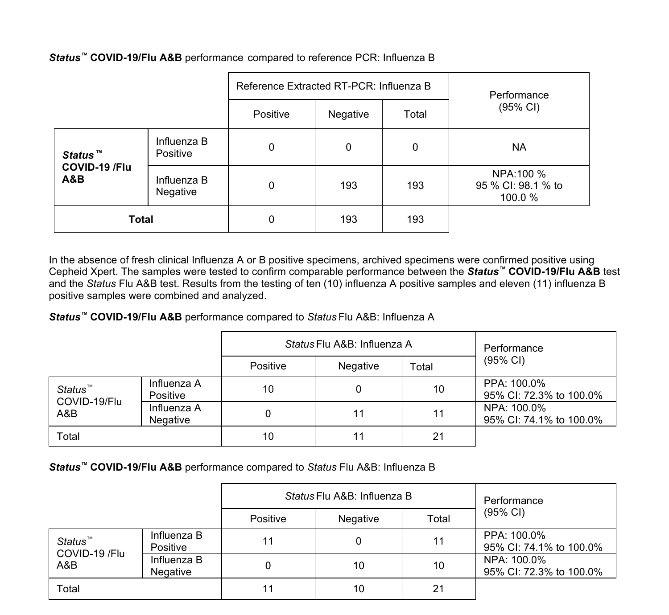|                                 |                         | Reference Extracted RT-PCR: Influenza B |          | Performance |                                           |
|---------------------------------|-------------------------|-----------------------------------------|----------|-------------|-------------------------------------------|
|                                 |                         | Positive                                | Negative | Total       | (95% CI)                                  |
| Status™<br>COVID-19 /Flu<br>A&B | Influenza B<br>Positive | 0                                       | $\Omega$ | 0           | <b>NA</b>                                 |
|                                 | Influenza B<br>Negative | 0                                       | 193      | 193         | NPA:100 %<br>95 % CI: 98.1 % to<br>100.0% |
| Total                           |                         | 0                                       | 193      | 193         |                                           |

*Status™* **COVID-19/Flu A&B** performance compared to reference PCR: Influenza B

In the absence of fresh clinical Influenza A or B positive specimens, archived specimens were confirmed positive using Cepheid Xpert. The samples were tested to confirm comparable performance between the *Status™* **COVID-19/Flu A&B** test and the *Status* Flu A&B test. Results from the testing of ten (10) influenza A positive samples and eleven (11) influenza B positive samples were combined and analyzed.

*Status™* **COVID-19/Flu A&B** performance compared to *Status* Flu A&B: Influenza A

|                                |                         |          | Status Flu A&B: Influenza A | Performance |                                        |
|--------------------------------|-------------------------|----------|-----------------------------|-------------|----------------------------------------|
|                                |                         | Positive | Negative                    | Total       | (95% CI)                               |
| Status™<br>COVID-19/Flu<br>A&B | Influenza A<br>Positive | 10       |                             | 10          | PPA: 100.0%<br>95% CI: 72.3% to 100.0% |
|                                | Influenza A<br>Negative |          | 11                          | 11          | NPA: 100.0%<br>95% CI: 74.1% to 100.0% |
| Total                          |                         | 10       |                             | 21          |                                        |

*Status™* **COVID-19/Flu A&B** performance compared to *Status* Flu A&B: Influenza B

|                                             |                         |          | Status Flu A&B: Influenza B | Performance |                                        |
|---------------------------------------------|-------------------------|----------|-----------------------------|-------------|----------------------------------------|
|                                             |                         | Positive | Negative                    | Total       | (95% CI)                               |
| Status <sup>™</sup><br>COVID-19 /Flu<br>A&B | Influenza B<br>Positive | 11       |                             | 11          | PPA: 100.0%<br>95% CI: 74.1% to 100.0% |
|                                             | Influenza B<br>Negative |          | 10                          | 10          | NPA: 100.0%<br>95% CI: 72.3% to 100.0% |
| Total                                       |                         | 11       | 10                          | 21          |                                        |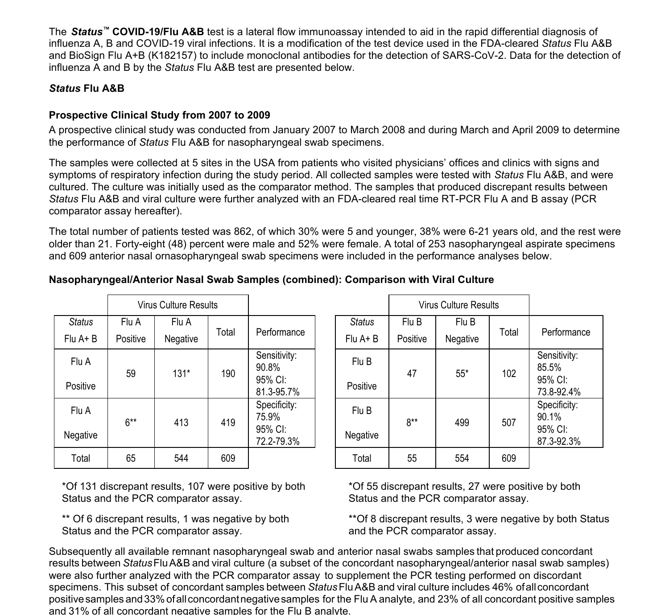The *Status™* **COVID-19/Flu A&B** test is a lateral flow immunoassay intended to aid in the rapid differential diagnosis of influenza A, B and COVID-19 viral infections. It is a modification of the test device used in the FDA-cleared *Status* Flu A&B and BioSign Flu A+B (K182157) to include monoclonal antibodies for the detection of SARS-CoV-2. Data for the detection of influenza A and B by the *Status* Flu A&B test are presented below.

### *Status* **Flu A&B**

### **Prospective Clinical Study from 2007 to 2009**

A prospective clinical study was conducted from January 2007 to March 2008 and during March and April 2009 to determine the performance of *Status* Flu A&B for nasopharyngeal swab specimens.

The samples were collected at 5 sites in the USA from patients who visited physicians' offices and clinics with signs and symptoms of respiratory infection during the study period. All collected samples were tested with *Status* Flu A&B, and were cultured. The culture was initially used as the comparator method. The samples that produced discrepant results between *Status* Flu A&B and viral culture were further analyzed with an FDA-cleared real time RT-PCR Flu A and B assay (PCR comparator assay hereafter).

The total number of patients tested was 862, of which 30% were 5 and younger, 38% were 6-21 years old, and the rest were older than 21. Forty-eight (48) percent were male and 52% were female. A total of 253 nasopharyngeal aspirate specimens and 609 anterior nasal ornasopharyngeal swab specimens were included in the performance analyses below.

|               |          | Virus Culture Results |                       |                       |          |               |          | <b>Virus Culture Results</b> |      |
|---------------|----------|-----------------------|-----------------------|-----------------------|----------|---------------|----------|------------------------------|------|
| <b>Status</b> | Flu A    | Flu A                 |                       |                       |          | <b>Status</b> | Flu B    | Flu B                        |      |
| $Flu A + B$   | Positive | Negative              | Total<br>Performance  |                       |          | $Flu A + B$   | Positive | Negative                     | Tota |
| Flu A         | 59       | $131*$                | 190                   | Sensitivity:<br>90.8% |          | Flu B         | 47       | $55*$                        | 102  |
| Positive      |          |                       | 95% CI:<br>81.3-95.7% |                       | Positive |               |          |                              |      |
| Flu A         | $6***$   | 413                   | 419                   | Specificity:<br>75.9% |          | Flu B         | $8***$   | 499                          | 507  |
| Negative      |          |                       |                       | 95% CI:<br>72.2-79.3% |          | Negative      |          |                              |      |
| Total         | 65       | 544<br>609            |                       |                       | Total    | 55            | 554      | 609                          |      |

#### **Nasopharyngeal/Anterior Nasal Swab Samples (combined): Comparison with Viral Culture**

\*Of 131 discrepant results, 107 were positive by both Status and the PCR comparator assay.

\*\* Of 6 discrepant results, 1 was negative by both Status and the PCR comparator assay.

|          |          | <b>Virus Culture Results</b> |       |                       |               |          | Virus Culture Results |       |                       |
|----------|----------|------------------------------|-------|-----------------------|---------------|----------|-----------------------|-------|-----------------------|
| Status   | Flu A    | Flu A                        |       |                       | <b>Status</b> | Flu B    | Flu B                 |       |                       |
| Flu A+B  | Positive | Negative                     | Total | Performance           | $Flu A + B$   | Positive | Negative              | Total | Performance           |
| Flu A    | 59       | $131*$                       | 190   | Sensitivity:<br>90.8% | Flu B         | 47       | $55*$                 | 102   | Sensitivity:<br>85.5% |
| Positive |          |                              |       | 95% CI:<br>81.3-95.7% | Positive      |          |                       |       | 95% CI:<br>73.8-92.4% |
| Flu A    | $6***$   | 413                          | 419   | Specificity:<br>75.9% | Flu B         | $8***$   | 499                   | 507   | Specificity:<br>90.1% |
| Negative |          |                              |       | 95% CI:<br>72.2-79.3% | Negative      |          |                       |       | 95% CI:<br>87.3-92.3% |
| Total    | 65       | 544                          | 609   |                       | Total         | 55       | 554                   | 609   |                       |

\*Of 55 discrepant results, 27 were positive by both Status and the PCR comparator assay.

\*\*Of 8 discrepant results, 3 were negative by both Status and the PCR comparator assay.

Subsequently all available remnant nasopharyngeal swab and anterior nasal swabs samples that produced concordant results between *Status*FluA&B and viral culture (a subset of the concordant nasopharyngeal/anterior nasal swab samples) were also further analyzed with the PCR comparator assay to supplement the PCR testing performed on discordant specimens. This subset of concordant samples between *Status*FluA&B and viral culture includes 46% ofallconcordant positivesamples and33% ofallconcordantnegativesamples for the Flu A analyte, and 23% of all concordant positive samples and 31% of all concordant negative samples for the Flu B analyte.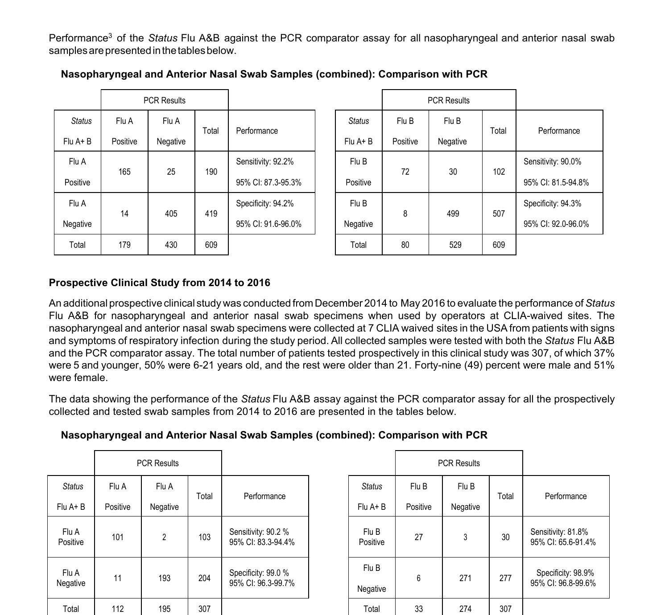Performance3 of the *Status* Flu A&B against the PCR comparator assay for all nasopharyngeal and anterior nasal swab samples are presented in the tables below.

|               |          | <b>PCR Results</b> |       |                    |               |          | <b>PCR Results</b> |      |
|---------------|----------|--------------------|-------|--------------------|---------------|----------|--------------------|------|
| <b>Status</b> | Flu A    | Flu A              | Total | Performance        | <b>Status</b> | Flu B    | Flu B              | Tota |
| $Flu A + B$   | Positive | Negative           |       |                    | $Flu A + B$   | Positive | Negative           |      |
| Flu A         | 165      | 25                 | 190   | Sensitivity: 92.2% | Flu B         | 72       | 30                 | 102  |
| Positive      |          |                    |       | 95% CI: 87.3-95.3% | Positive      |          |                    |      |
| Flu A         | 14       | 405                | 419   | Specificity: 94.2% | Flu B         | 8        | 499                | 507  |
| Negative      |          |                    |       | 95% CI: 91.6-96.0% | Negative      |          |                    |      |
| Total         | 179      | 430                | 609   |                    | Total         | 80       | 529                | 609  |

|  | Nasopharyngeal and Anterior Nasal Swab Samples (combined): Comparison with PCR |  |  |
|--|--------------------------------------------------------------------------------|--|--|
|--|--------------------------------------------------------------------------------|--|--|

|               |          | <b>PCR Results</b> |       |                    |               |          | <b>PCR Results</b> |       |                    |
|---------------|----------|--------------------|-------|--------------------|---------------|----------|--------------------|-------|--------------------|
| <b>Status</b> | Flu A    | Flu A              |       |                    | <b>Status</b> | Flu B    | Flu B              |       |                    |
| Flu A+B       | Positive | Negative           | Total | Performance        | $Flu A + B$   | Positive | Negative           | Total | Performance        |
| Flu A         | 165      | 25                 | 190   | Sensitivity: 92.2% | Flu B         | 72       | 30                 | 102   | Sensitivity: 90.0% |
| Positive      |          |                    |       | 95% CI: 87.3-95.3% | Positive      |          |                    |       | 95% CI: 81.5-94.8% |
| Flu A         | 14       | 405                | 419   | Specificity: 94.2% | Flu B         | 8        | 499                | 507   | Specificity: 94.3% |
| Negative      |          |                    |       | 95% CI: 91.6-96.0% | Negative      |          |                    |       | 95% CI: 92.0-96.0% |
| Total         | 179      | 430                | 609   |                    | Total         | 80       | 529                | 609   |                    |

## **Prospective Clinical Study from 2014 to 2016**

An additional prospective clinical study was conducted from December 2014 to May 2016 to evaluate the performance of*Status* Flu A&B for nasopharyngeal and anterior nasal swab specimens when used by operators at CLIA-waived sites. The nasopharyngeal and anterior nasal swab specimens were collected at 7 CLIA waived sites in the USA from patients with signs and symptoms of respiratory infection during the study period. All collected samples were tested with both the *Status* Flu A&B and the PCR comparator assay. The total number of patients tested prospectively in this clinical study was 307, of which 37% were 5 and younger, 50% were 6-21 years old, and the rest were older than 21. Forty-nine (49) percent were male and 51% were female.

The data showing the performance of the *Status* Flu A&B assay against the PCR comparator assay for all the prospectively collected and tested swab samples from 2014 to 2016 are presented in the tables below.

## **Nasopharyngeal and Anterior Nasal Swab Samples (combined): Comparison with PCR**

|                   |          | <b>PCR Results</b> |       |                                           |                   |          | <b>PCR Results</b> |      |
|-------------------|----------|--------------------|-------|-------------------------------------------|-------------------|----------|--------------------|------|
| <b>Status</b>     | Flu A    | Flu A              | Total | Performance                               | <b>Status</b>     | Flu B    | Flu B              | Tota |
| $Flu A + B$       | Positive | Negative           |       |                                           | $Flu A + B$       | Positive | Negative           |      |
| Flu A<br>Positive | 101      | $\overline{2}$     | 103   | Sensitivity: 90.2 %<br>95% CI: 83.3-94.4% | Flu B<br>Positive | 27       | 3                  | 30   |
| Flu A<br>Negative | 11       | 193                | 204   | Specificity: 99.0 %<br>95% CI: 96.3-99.7% | Flu B<br>Negative | 6        | 271                | 277  |
| Total             | 112      | 195                | 307   |                                           | Total             | 33       | 274                | 307  |

|                   |          | <b>PCR Results</b> |       |                                          |
|-------------------|----------|--------------------|-------|------------------------------------------|
| <b>Status</b>     | Flu B    | Flu B              | Total | Performance                              |
| Flu A+B           | Positive | Negative           |       |                                          |
| Flu B<br>Positive | 27       | 3                  | 30    | Sensitivity: 81.8%<br>95% CI: 65.6-91.4% |
| Flu B<br>Negative | 6        | 271                | 277   | Specificity: 98.9%<br>95% CI: 96.8-99.6% |
| Total             | 33       | 274                | 307   |                                          |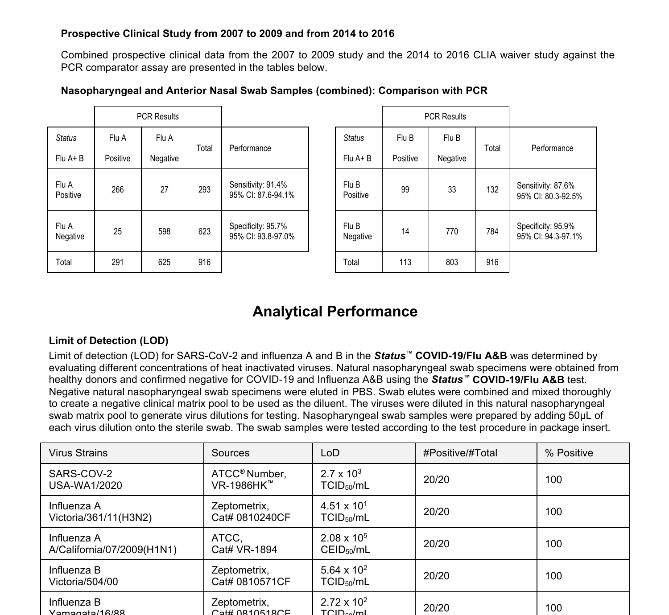#### **Prospective Clinical Study from 2007 to 2009 and from 2014 to 2016**

Combined prospective clinical data from the 2007 to 2009 study and the 2014 to 2016 CLIA waiver study against the PCR comparator assay are presented in the tables below.

|                   |          | <b>PCR Results</b> |       |                                          |                   |          | <b>PCR Results</b> |      |
|-------------------|----------|--------------------|-------|------------------------------------------|-------------------|----------|--------------------|------|
| <b>Status</b>     | Flu A    | Flu A              | Total | Performance                              | <b>Status</b>     | Flu B    | Flu B              | Tota |
| $Flu A + B$       | Positive | Negative           |       |                                          | $Flu A + B$       | Positive | Negative           |      |
| Flu A<br>Positive | 266      | 27                 | 293   | Sensitivity: 91.4%<br>95% CI: 87.6-94.1% | Flu B<br>Positive | 99       | 33                 | 132  |
| Flu A<br>Negative | 25       | 598                | 623   | Specificity: 95.7%<br>95% CI: 93.8-97.0% | Flu B<br>Negative | 14       | 770                | 784  |
| Total             | 291      | 625                | 916   |                                          | Total             | 113      | 803                | 916  |

|                   |          | <b>PCR Results</b> |       |                                          |
|-------------------|----------|--------------------|-------|------------------------------------------|
| <b>Status</b>     | Flu B    | Flu B              | Total | Performance                              |
| $Flu A + B$       | Positive | Negative           |       |                                          |
| Flu B<br>Positive | 99       | 33                 | 132   | Sensitivity: 87.6%<br>95% CI: 80.3-92.5% |
| Flu B<br>Negative | 14       | 770                | 784   | Specificity: 95.9%<br>95% CI: 94.3-97.1% |
| Total             | 113      | 803                | 916   |                                          |

#### **Nasopharyngeal and Anterior Nasal Swab Samples (combined): Comparison with PCR**

# **Analytical Performance**

#### **Limit of Detection (LOD)**

Limit of detection (LOD) for SARS-CoV-2 and influenza A and B in the *Status™* **COVID-19/Flu A&B** was determined by evaluating different concentrations of heat inactivated viruses. Natural nasopharyngeal swab specimens were obtained from healthy donors and confirmed negative for COVID-19 and Influenza A&B using the *Status™* **COVID-19/Flu A&B** test. Negative natural nasopharyngeal swab specimens were eluted in PBS. Swab elutes were combined and mixed thoroughly to create a negative clinical matrix pool to be used as the diluent. The viruses were diluted in this natural nasopharyngeal swab matrix pool to generate virus dilutions for testing. Nasopharyngeal swab samples were prepared by adding 50µL of each virus dilution onto the sterile swab. The swab samples were tested according to the test procedure in package insert.

| Virus Strains                             | Sources                                 | LoD                                              | #Positive/#Total | % Positive |
|-------------------------------------------|-----------------------------------------|--------------------------------------------------|------------------|------------|
| SARS-COV-2<br>USA-WA1/2020                | ATCC <sup>®</sup> Number.<br>VR-1986HK™ | $2.7 \times 10^{3}$<br>TCID <sub>50</sub> /mL    | 20/20            | 100        |
| Influenza A<br>Victoria/361/11(H3N2)      | Zeptometrix,<br>Cat# 0810240CF          | 4.51 x 10 <sup>1</sup><br>TCID <sub>50</sub> /mL | 20/20            | 100        |
| Influenza A<br>A/California/07/2009(H1N1) | ATCC.<br>Cat# VR-1894                   | $2.08 \times 10^5$<br>CEID <sub>50</sub> /mL     | 20/20            | 100        |
| Influenza B<br>Victoria/504/00            | Zeptometrix,<br>Cat# 0810571CF          | 5.64 x $10^2$<br>TCID <sub>50</sub> /mL          | 20/20            | 100        |
| Influenza B<br>Yamanata/16/88             | Zeptometrix,<br>Cat# 0810518CF          | $2.72 \times 10^{2}$<br>$TCID_{co}/ml$           | 20/20            | 100        |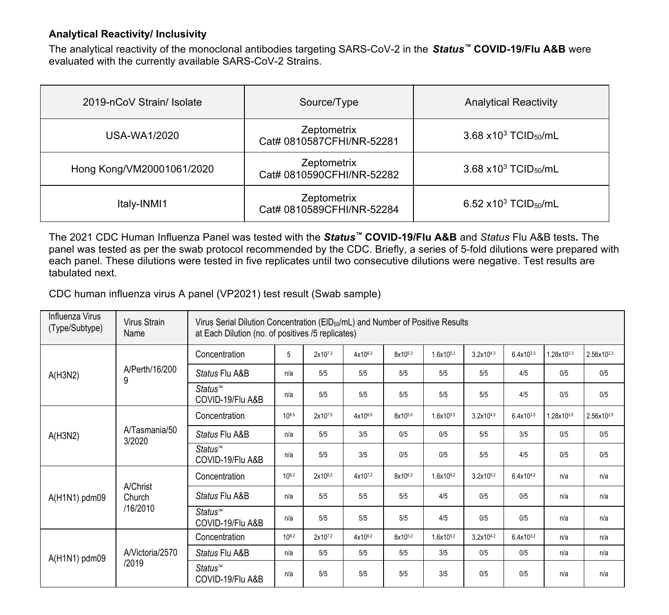#### **Analytical Reactivity/ Inclusivity**

The analytical reactivity of the monoclonal antibodies targeting SARS-CoV-2 in the *Status™* **COVID-19/Flu A&B** were evaluated with the currently available SARS-CoV-2 Strains.

| 2019-nCoV Strain/ Isolate | Source/Type                              | <b>Analytical Reactivity</b>              |  |  |
|---------------------------|------------------------------------------|-------------------------------------------|--|--|
| USA-WA1/2020              | Zeptometrix<br>Cat# 0810587CFHI/NR-52281 | $3.68 \times 10^3$ TCID <sub>50</sub> /mL |  |  |
| Hong Kong/VM20001061/2020 | Zeptometrix<br>Cat# 0810590CFHI/NR-52282 | $3.68 \times 10^3$ TCID <sub>50</sub> /mL |  |  |
| Italy-INMI1               | Zeptometrix<br>Cat# 0810589CFHI/NR-52284 | $6.52 \times 10^3$ TCID <sub>50</sub> /mL |  |  |

The 2021 CDC Human Influenza Panel was tested with the *Status™* **COVID-19/Flu A&B** and *Status* Flu A&B tests**.** The panel was tested as per the swab protocol recommended by the CDC. Briefly, a series of 5-fold dilutions were prepared with each panel. These dilutions were tested in five replicates until two consecutive dilutions were negative. Test results are tabulated next.

CDC human influenza virus A panel (VP2021) test result (Swab sample)

| Influenza Virus<br>(Type/Subtype) | Virus Strain<br>Name                                                        | Virus Serial Dilution Concentration (EID <sub>50</sub> /mL) and Number of Positive Results<br>at Each Dilution (no. of positives /5 replicates) |            |         |         |         |                       |                       |           |           |                        |
|-----------------------------------|-----------------------------------------------------------------------------|-------------------------------------------------------------------------------------------------------------------------------------------------|------------|---------|---------|---------|-----------------------|-----------------------|-----------|-----------|------------------------|
|                                   | A/Perth/16/200<br>9<br>A/Tasmania/50<br>3/2020<br><b>A/Christ</b><br>Church | Concentration                                                                                                                                   | 5          | 2x107.3 | 4x1063  | 8x105.3 | 1.6x10 <sup>5.3</sup> | 3.2x1043              | 6.4x1033  | 1.28x1033 | 2.56x10 <sup>2.3</sup> |
| A(H3N2)                           |                                                                             | Status Flu A&B                                                                                                                                  | n/a        | 5/5     | 5/5     | 5/5     | 5/5                   | 5/5                   | 4/5       | 0/5       | 0/5                    |
|                                   |                                                                             | Status™<br>COVID-19/Flu A&B                                                                                                                     | n/a        | 5/5     | 5/5     | 5/5     | 5/5                   | 5/5                   | 4/5       | 0/5       | 0/5                    |
|                                   |                                                                             | Concentration                                                                                                                                   | 108.5      | 2x107.5 | 4x106.5 | 8x105.5 | 1.6x105.5             | 3.2x104.5             | 6.4x103.5 | 1.28x1035 | 2.56x102.5             |
| A(H3N2)                           |                                                                             | Status Flu A&B                                                                                                                                  | n/a        | 5/5     | 3/5     | 0/5     | 0/5                   | 5/5                   | 3/5       | 0/5       | 0/5                    |
|                                   |                                                                             | Status™<br>COVID-19/Flu A&B                                                                                                                     | n/a        | 5/5     | 3/5     | 0/5     | 0/5                   | 5/5                   | 4/5       | 0/5       | 0/5                    |
|                                   |                                                                             | Concentration                                                                                                                                   | 109.2      | 2x108.2 | 4x107.2 | 8x106.2 | 1.6x106.2             | 3.2x10 <sup>5.2</sup> | 6.4x104.2 | n/a       | n/a                    |
| $A(H1N1)$ pdm09                   |                                                                             | Status Flu A&B                                                                                                                                  | n/a        | 5/5     | 5/5     | 5/5     | 4/5                   | 0/5                   | 0/5       | n/a       | n/a                    |
|                                   | /16/2010                                                                    | Status™<br>COVID-19/Flu A&B                                                                                                                     | n/a        | 5/5     | 5/5     | 5/5     | 4/5                   | 0/5                   | 0/5       | n/a       | n/a                    |
|                                   |                                                                             | Concentration                                                                                                                                   | $10^{8.2}$ | 2x1072  | 4x1062  | 8x105.2 | 1.6x10 <sup>5.2</sup> | 3.2x1042              | 6.4x103.2 | n/a       | n/a                    |
| $A(H1N1)$ pdm09                   | A/Victoria/2570                                                             | Status Flu A&B                                                                                                                                  | n/a        | 5/5     | 5/5     | 5/5     | 3/5                   | 0/5                   | 0/5       | n/a       | n/a                    |
|                                   | /2019                                                                       | Status™<br>COVID-19/Flu A&B                                                                                                                     | n/a        | 5/5     | 5/5     | 5/5     | 3/5                   | 0/5                   | 0/5       | n/a       | n/a                    |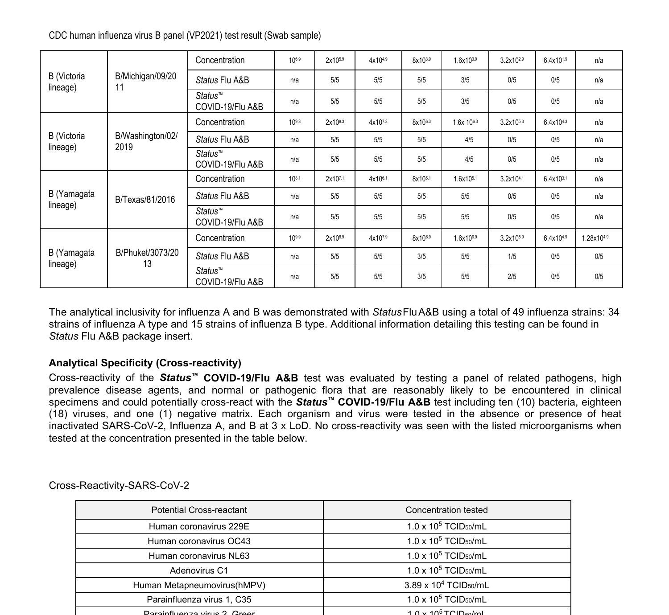| <b>B</b> (Victoria<br>lineage) | B/Michigan/09/20<br>11   | Concentration               | 106.9      | 2x105.9 | 4x104.9 | 8x103.9 | 1.6x1039   | 3.2x10 <sup>29</sup> | 6.4x101.9 | n/a       |
|--------------------------------|--------------------------|-----------------------------|------------|---------|---------|---------|------------|----------------------|-----------|-----------|
|                                |                          | Status Flu A&B              | n/a        | 5/5     | 5/5     | 5/5     | 3/5        | 0/5                  | 0/5       | n/a       |
|                                |                          | Status™<br>COVID-19/Flu A&B | n/a        | 5/5     | 5/5     | 5/5     | 3/5        | 0/5                  | 0/5       | n/a       |
| <b>B</b> (Victoria<br>lineage) | B/Washington/02/<br>2019 | Concentration               | $10^{9.3}$ | 2x108.3 | 4x1073  | 8x106.3 | 1.6x 106.3 | 3.2x1053             | 6.4x104.3 | n/a       |
|                                |                          | Status Flu A&B              | n/a        | 5/5     | 5/5     | 5/5     | 4/5        | 0/5                  | 0/5       | n/a       |
|                                |                          | Status™<br>COVID-19/Flu A&B | n/a        | 5/5     | 5/5     | 5/5     | 4/5        | 0/5                  | 0/5       | n/a       |
|                                | B/Texas/81/2016          | Concentration               | 108.1      | 2x107.1 | 4x106.1 | 8x105.1 | 1.6x105.1  | 3.2x1041             | 6.4x103.1 | n/a       |
| B (Yamagata                    |                          | Status Flu A&B              | n/a        | 5/5     | 5/5     | 5/5     | 5/5        | 0/5                  | 0/5       | n/a       |
| lineage)                       |                          | Status™<br>COVID-19/Flu A&B | n/a        | 5/5     | 5/5     | 5/5     | 5/5        | 0/5                  | 0/5       | n/a       |
| B (Yamagata<br>lineage)        | B/Phuket/3073/20<br>13   | Concentration               | 109.9      | 2x108.9 | 4x107.9 | 8x106.9 | 1.6x106.9  | 3.2x105.9            | 6.4x104.9 | 1.28x1049 |
|                                |                          | Status Flu A&B              | n/a        | 5/5     | 5/5     | 3/5     | 5/5        | 1/5                  | 0/5       | 0/5       |
|                                |                          | Status™<br>COVID-19/Flu A&B | n/a        | 5/5     | 5/5     | 3/5     | 5/5        | 2/5                  | 0/5       | 0/5       |

CDC human influenza virus B panel (VP2021) test result (Swab sample)

The analytical inclusivity for influenza A and B was demonstrated with *Status*FluA&B using a total of 49 influenza strains: 34 strains of influenza A type and 15 strains of influenza B type. Additional information detailing this testing can be found in *Status* Flu A&B package insert.

#### **Analytical Specificity (Cross-reactivity)**

Cross-reactivity of the *Status™* **COVID-19/Flu A&B** test was evaluated by testing a panel of related pathogens, high prevalence disease agents, and normal or pathogenic flora that are reasonably likely to be encountered in clinical specimens and could potentially cross-react with the *Status™* **COVID-19/Flu A&B** test including ten (10) bacteria, eighteen (18) viruses, and one (1) negative matrix. Each organism and virus were tested in the absence or presence of heat inactivated SARS-CoV-2, Influenza A, and B at 3 x LoD. No cross-reactivity was seen with the listed microorganisms when tested at the concentration presented in the table below.

| <b>Potential Cross-reactant</b>      | Concentration tested                          |  |  |
|--------------------------------------|-----------------------------------------------|--|--|
| Human coronavirus 229E               | $1.0 \times 10^5$ TCID <sub>50</sub> /mL      |  |  |
| Human coronavirus OC43               | $1.0 \times 10^5$ TCID <sub>50</sub> /mL      |  |  |
| Human coronavirus NL63               | $1.0 \times 10^5$ TCID <sub>50</sub> /mL      |  |  |
| Adenovirus C1                        | $1.0 \times 10^5$ TCID <sub>50</sub> /mL      |  |  |
| Human Metapneumovirus(hMPV)          | 3.89 x 10 <sup>4</sup> TCID <sub>50</sub> /mL |  |  |
| Parainfluenza virus 1, C35           | $1.0 \times 10^5$ TCID <sub>50</sub> /mL      |  |  |
| $D_{\text{model}}(l_{\text{model}})$ | $4.0 \times 405$ TOID $-100$                  |  |  |

Cross-Reactivity-SARS-CoV-2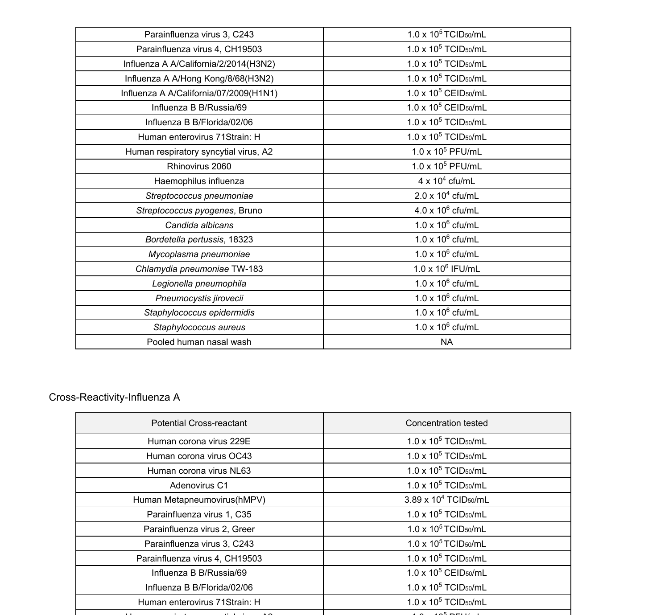| Parainfluenza virus 3, C243            | $1.0 \times 10^5$ TCID <sub>50</sub> /mL |  |  |
|----------------------------------------|------------------------------------------|--|--|
| Parainfluenza virus 4, CH19503         | $1.0 \times 10^5$ TCID <sub>50</sub> /mL |  |  |
| Influenza A A/California/2/2014(H3N2)  | $1.0 \times 10^5$ TCID <sub>50</sub> /mL |  |  |
| Influenza A A/Hong Kong/8/68(H3N2)     | $1.0 \times 10^5$ TCID <sub>50</sub> /mL |  |  |
| Influenza A A/California/07/2009(H1N1) | $1.0 \times 10^5$ CEID <sub>50</sub> /mL |  |  |
| Influenza B B/Russia/69                | $1.0 \times 10^5$ CEID <sub>50</sub> /mL |  |  |
| Influenza B B/Florida/02/06            | $1.0 \times 10^5$ TCID <sub>50</sub> /mL |  |  |
| Human enterovirus 71Strain: H          | $1.0 \times 10^5$ TCID <sub>50</sub> /mL |  |  |
| Human respiratory syncytial virus, A2  | 1.0 x 10 <sup>5</sup> PFU/mL             |  |  |
| Rhinovirus 2060                        | $1.0 \times 10^5$ PFU/mL                 |  |  |
| Haemophilus influenza                  | $4 \times 10^4$ cfu/mL                   |  |  |
| Streptococcus pneumoniae               | $2.0 \times 10^4$ cfu/mL                 |  |  |
| Streptococcus pyogenes, Bruno          | $4.0 \times 10^6$ cfu/mL                 |  |  |
| Candida albicans                       | $1.0 \times 10^6$ cfu/mL                 |  |  |
| Bordetella pertussis, 18323            | $1.0 \times 10^6$ cfu/mL                 |  |  |
| Mycoplasma pneumoniae                  | $1.0 \times 10^6$ cfu/mL                 |  |  |
| Chlamydia pneumoniae TW-183            | $1.0 \times 10^6$ IFU/mL                 |  |  |
| Legionella pneumophila                 | $1.0 \times 10^6$ cfu/mL                 |  |  |
| Pneumocystis jirovecii                 | $1.0 \times 10^6$ cfu/mL                 |  |  |
| Staphylococcus epidermidis             | $1.0 \times 10^6$ cfu/mL                 |  |  |
| Staphylococcus aureus                  | $1.0 \times 10^6$ cfu/mL                 |  |  |
| Pooled human nasal wash                | <b>NA</b>                                |  |  |

## Cross-Reactivity-Influenza A

| <b>Potential Cross-reactant</b> | Concentration tested                          |  |  |
|---------------------------------|-----------------------------------------------|--|--|
| Human corona virus 229E         | $1.0 \times 10^5$ TCID <sub>50</sub> /mL      |  |  |
| Human corona virus OC43         | $1.0 \times 10^5$ TCID <sub>50</sub> /mL      |  |  |
| Human corona virus NL63         | $1.0 \times 10^5$ TCID <sub>50</sub> /mL      |  |  |
| Adenovirus C1                   | $1.0 \times 10^5$ TCID <sub>50</sub> /mL      |  |  |
| Human Metapneumovirus(hMPV)     | 3.89 x 10 <sup>4</sup> TCID <sub>50</sub> /mL |  |  |
| Parainfluenza virus 1, C35      | $1.0 \times 10^5$ TCID <sub>50</sub> /mL      |  |  |
| Parainfluenza virus 2. Greer    | $1.0 \times 10^5$ TCID <sub>50</sub> /mL      |  |  |
| Parainfluenza virus 3, C243     | $1.0 \times 10^5$ TCID <sub>50</sub> /mL      |  |  |
| Parainfluenza virus 4, CH19503  | $1.0 \times 10^5$ TCID <sub>50</sub> /mL      |  |  |
| Influenza B B/Russia/69         | $1.0 \times 10^5$ CEID <sub>50</sub> /mL      |  |  |
| Influenza B B/Florida/02/06     | $1.0 \times 10^5$ TCID <sub>50</sub> /mL      |  |  |
| Human enterovirus 71Strain: H   | $1.0 \times 10^5$ TCID <sub>50</sub> /mL      |  |  |
|                                 |                                               |  |  |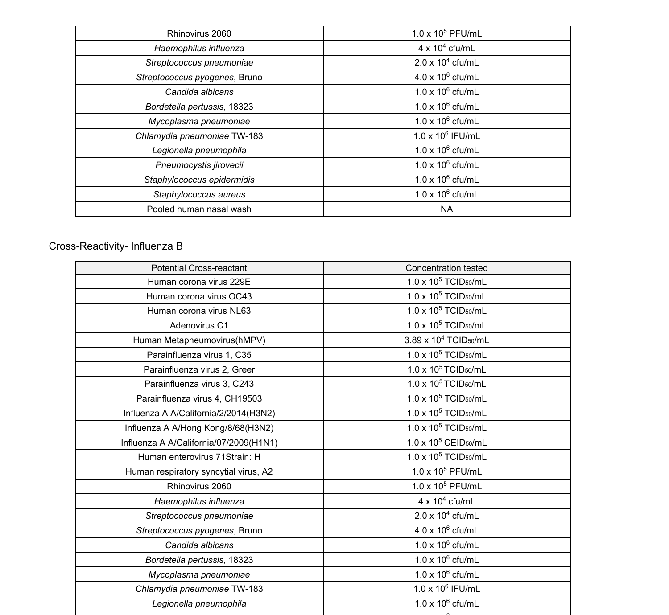| Rhinovirus 2060               | $1.0 \times 10^5$ PFU/mL |  |  |
|-------------------------------|--------------------------|--|--|
| Haemophilus influenza         | $4 \times 10^4$ cfu/mL   |  |  |
| Streptococcus pneumoniae      | $2.0 \times 10^4$ cfu/mL |  |  |
| Streptococcus pyogenes, Bruno | $4.0 \times 10^6$ cfu/mL |  |  |
| Candida albicans              | $1.0 \times 10^6$ cfu/mL |  |  |
| Bordetella pertussis, 18323   | $1.0 \times 10^6$ cfu/mL |  |  |
| Mycoplasma pneumoniae         | $1.0 \times 10^6$ cfu/mL |  |  |
| Chlamydia pneumoniae TW-183   | $1.0 \times 10^6$ IFU/mL |  |  |
| Legionella pneumophila        | $1.0 \times 10^6$ cfu/mL |  |  |
| Pneumocystis jirovecii        | $1.0 \times 10^6$ cfu/mL |  |  |
| Staphylococcus epidermidis    | $1.0 \times 10^6$ cfu/mL |  |  |
| Staphylococcus aureus         | $1.0 \times 10^6$ cfu/mL |  |  |
| Pooled human nasal wash       | <b>NA</b>                |  |  |

## Cross-Reactivity- Influenza B

| <b>Potential Cross-reactant</b>        | Concentration tested                          |  |  |
|----------------------------------------|-----------------------------------------------|--|--|
| Human corona virus 229E                | $1.0 \times 10^5$ TCID <sub>50</sub> /mL      |  |  |
| Human corona virus OC43                | $1.0 \times 10^5$ TCID <sub>50</sub> /mL      |  |  |
| Human corona virus NL63                | $1.0 \times 10^5$ TCID <sub>50</sub> /mL      |  |  |
| Adenovirus C1                          | 1.0 x 10 <sup>5</sup> TCID <sub>50</sub> /mL  |  |  |
| Human Metapneumovirus(hMPV)            | 3.89 x 10 <sup>4</sup> TCID <sub>50</sub> /mL |  |  |
| Parainfluenza virus 1. C35             | $1.0 \times 10^5$ TCID <sub>50</sub> /mL      |  |  |
| Parainfluenza virus 2, Greer           | $1.0 \times 10^5$ TCID <sub>50</sub> /mL      |  |  |
| Parainfluenza virus 3, C243            | $1.0 \times 10^5$ TCID <sub>50</sub> /mL      |  |  |
| Parainfluenza virus 4, CH19503         | 1.0 x 10 <sup>5</sup> TCID <sub>50</sub> /mL  |  |  |
| Influenza A A/California/2/2014(H3N2)  | $1.0 \times 10^5$ TCID <sub>50</sub> /mL      |  |  |
| Influenza A A/Hong Kong/8/68(H3N2)     | $1.0 \times 10^5$ TCID <sub>50</sub> /mL      |  |  |
| Influenza A A/California/07/2009(H1N1) | 1.0 x 10 <sup>5</sup> CEID <sub>50</sub> /mL  |  |  |
| Human enterovirus 71Strain: H          | $1.0 \times 10^5$ TCID <sub>50</sub> /mL      |  |  |
| Human respiratory syncytial virus, A2  | 1.0 x 10 <sup>5</sup> PFU/mL                  |  |  |
| Rhinovirus 2060                        | $1.0 \times 10^5$ PFU/mL                      |  |  |
| Haemophilus influenza                  | $4 \times 10^4$ cfu/mL                        |  |  |
| Streptococcus pneumoniae               | $2.0 \times 10^4$ cfu/mL                      |  |  |
| Streptococcus pyogenes, Bruno          | $4.0 \times 10^6$ cfu/mL                      |  |  |
| Candida albicans                       | $1.0 \times 10^6$ cfu/mL                      |  |  |
| Bordetella pertussis, 18323            | $1.0 \times 10^6$ cfu/mL                      |  |  |
| Mycoplasma pneumoniae                  | $1.0 \times 10^6$ cfu/mL                      |  |  |
| Chlamydia pneumoniae TW-183            | 1.0 x 10 <sup>6</sup> IFU/mL                  |  |  |
| Legionella pneumophila                 | $1.0 \times 10^6$ cfu/mL                      |  |  |
|                                        |                                               |  |  |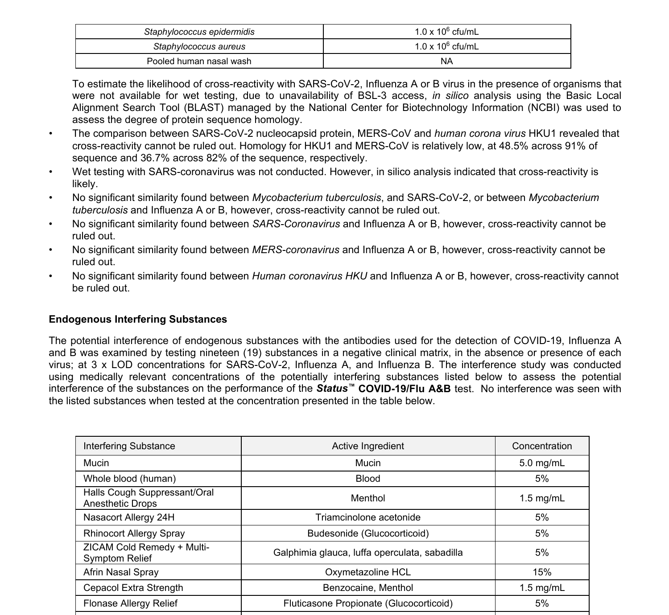| Staphylococcus epidermidis | $1.0 \times 10^6$ cfu/mL |
|----------------------------|--------------------------|
| Staphylococcus aureus      | $1.0 \times 10^6$ cfu/mL |
| Pooled human nasal wash    | <b>NA</b>                |

To estimate the likelihood of cross-reactivity with SARS-CoV-2, Influenza A or B virus in the presence of organisms that were not available for wet testing, due to unavailability of BSL-3 access, *in silico* analysis using the Basic Local Alignment Search Tool (BLAST) managed by the National Center for Biotechnology Information (NCBI) was used to assess the degree of protein sequence homology.

- The comparison between SARS-CoV-2 nucleocapsid protein, MERS-CoV and *human corona virus* HKU1 revealed that cross-reactivity cannot be ruled out. Homology for HKU1 and MERS-CoV is relatively low, at 48.5% across 91% of sequence and 36.7% across 82% of the sequence, respectively.
- Wet testing with SARS-coronavirus was not conducted. However, in silico analysis indicated that cross-reactivity is likely.
- No significant similarity found between *Mycobacterium tuberculosis*, and SARS-CoV-2, or between *Mycobacterium tuberculosis* and Influenza A or B, however, cross-reactivity cannot be ruled out.
- No significant similarity found between *SARS-Coronavirus* and Influenza A or B, however, cross-reactivity cannot be ruled out.
- No significant similarity found between *MERS-coronavirus* and Influenza A or B, however, cross-reactivity cannot be ruled out.
- No significant similarity found between *Human coronavirus HKU* and Influenza A or B, however, cross-reactivity cannot be ruled out.

#### **Endogenous Interfering Substances**

The potential interference of endogenous substances with the antibodies used for the detection of COVID-19, Influenza A and B was examined by testing nineteen (19) substances in a negative clinical matrix, in the absence or presence of each virus; at 3 x LOD concentrations for SARS-CoV-2, Influenza A, and Influenza B. The interference study was conducted using medically relevant concentrations of the potentially interfering substances listed below to assess the potential interference of the substances on the performance of the *Status™* **COVID-19/Flu A&B** test. No interference was seen with the listed substances when tested at the concentration presented in the table below.

| Interfering Substance                            | Active Ingredient                             | Concentration |  |
|--------------------------------------------------|-----------------------------------------------|---------------|--|
| Mucin                                            | Mucin                                         | $5.0$ mg/mL   |  |
| Whole blood (human)                              | <b>Blood</b>                                  | 5%            |  |
| Halls Cough Suppressant/Oral<br>Anesthetic Drops | Menthol                                       | $1.5$ mg/mL   |  |
| Nasacort Allergy 24H                             | Triamcinolone acetonide                       | 5%            |  |
| <b>Rhinocort Allergy Spray</b>                   | Budesonide (Glucocorticoid)                   | 5%            |  |
| ZICAM Cold Remedy + Multi-<br>Symptom Relief     | Galphimia glauca, luffa operculata, sabadilla | 5%            |  |
| Afrin Nasal Spray                                | Oxymetazoline HCL                             | 15%           |  |
| Cepacol Extra Strength                           | Benzocaine, Menthol                           | $1.5$ mg/mL   |  |
| Flonase Allergy Relief                           | Fluticasone Propionate (Glucocorticoid)       | 5%            |  |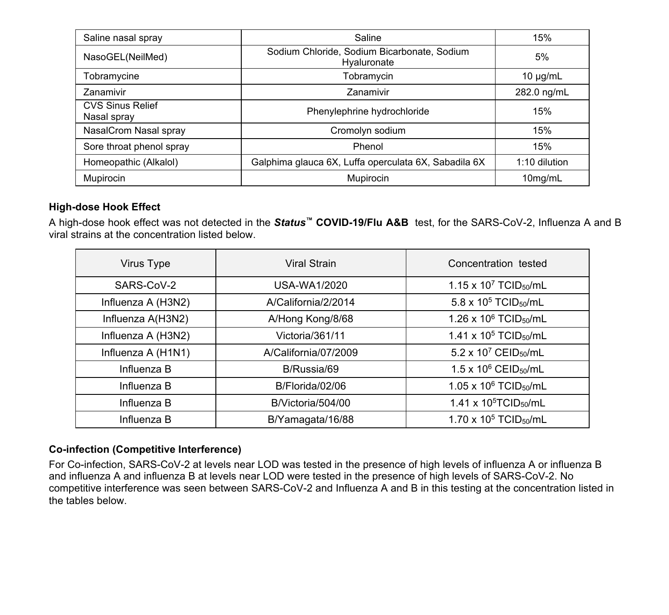| Saline nasal spray                     | Saline                                                     | 15%           |
|----------------------------------------|------------------------------------------------------------|---------------|
| NasoGEL(NeilMed)                       | Sodium Chloride, Sodium Bicarbonate, Sodium<br>Hyaluronate | 5%            |
| Tobramycine                            | Tobramycin                                                 | $10 \mu q/mL$ |
| Zanamivir                              | Zanamivir                                                  | 282.0 ng/mL   |
| <b>CVS Sinus Relief</b><br>Nasal spray | Phenylephrine hydrochloride                                | 15%           |
| NasalCrom Nasal spray                  | Cromolyn sodium                                            | 15%           |
| Sore throat phenol spray               | Phenol                                                     | 15%           |
| Homeopathic (Alkalol)                  | Galphima glauca 6X, Luffa operculata 6X, Sabadila 6X       | 1:10 dilution |
| Mupirocin                              | Mupirocin                                                  | 10mg/mL       |

#### **High-dose Hook Effect**

A high-dose hook effect was not detected in the *Status™* **COVID-19/Flu A&B** test, for the SARS-CoV-2, Influenza A and B viral strains at the concentration listed below.

| Virus Type         | Viral Strain         | Concentration tested                         |  |
|--------------------|----------------------|----------------------------------------------|--|
| SARS-CoV-2         | USA-WA1/2020         | 1.15 x $10^7$ TCID <sub>50</sub> /mL         |  |
| Influenza A (H3N2) | A/California/2/2014  | 5.8 x 10 <sup>5</sup> TCID <sub>50</sub> /mL |  |
| Influenza A(H3N2)  | A/Hong Kong/8/68     | $1.26 \times 10^6$ TCID <sub>50</sub> /mL    |  |
| Influenza A (H3N2) | Victoria/361/11      | $1.41 \times 10^5$ TCID <sub>50</sub> /mL    |  |
| Influenza A (H1N1) | A/California/07/2009 | 5.2 x $10^7$ CEID <sub>50</sub> /mL          |  |
| Influenza B        | B/Russia/69          | 1.5 x $10^6$ CEID <sub>50</sub> /mL          |  |
| Influenza B        | B/Florida/02/06      | $1.05 \times 10^6$ TCID <sub>50</sub> /mL    |  |
| Influenza B        | B/Victoria/504/00    | $1.41 \times 10^5$ TCID <sub>50</sub> /mL    |  |
| Influenza B        | B/Yamagata/16/88     | $1.70 \times 10^5$ TCID <sub>50</sub> /mL    |  |

## **Co-infection (Competitive Interference)**

For Co-infection, SARS-CoV-2 at levels near LOD was tested in the presence of high levels of influenza A or influenza B and influenza A and influenza B at levels near LOD were tested in the presence of high levels of SARS-CoV-2. No competitive interference was seen between SARS-CoV-2 and Influenza A and B in this testing at the concentration listed in the tables below.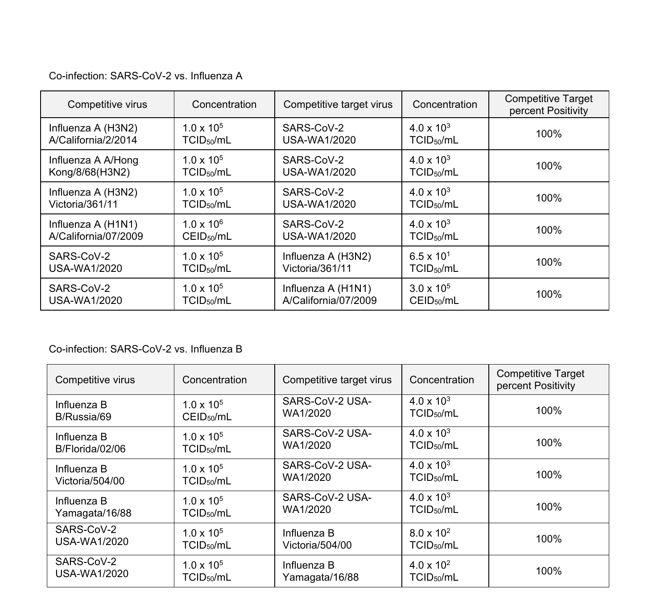Co-infection: SARS-CoV-2 vs. Influenza A

| Competitive virus    | Concentration          | Competitive target virus | Concentration          | <b>Competitive Target</b><br>percent Positivity |
|----------------------|------------------------|--------------------------|------------------------|-------------------------------------------------|
| Influenza A (H3N2)   | 1.0 x 10 <sup>5</sup>  | SARS-CoV-2               | $4.0 \times 10^{3}$    | 100%                                            |
| A/California/2/2014  | TCID <sub>50</sub> /mL | USA-WA1/2020             | TCID <sub>50</sub> /mL |                                                 |
| Influenza A A/Hong   | $1.0 \times 10^{5}$    | SARS-CoV-2               | $4.0 \times 10^{3}$    | 100%                                            |
| Kong/8/68(H3N2)      | TCID <sub>50</sub> /mL | USA-WA1/2020             | TCID <sub>50</sub> /mL |                                                 |
| Influenza A (H3N2)   | $1.0 \times 10^{5}$    | SARS-CoV-2               | $4.0 \times 10^{3}$    | 100%                                            |
| Victoria/361/11      | TCID <sub>50</sub> /mL | USA-WA1/2020             | TCID <sub>50</sub> /mL |                                                 |
| Influenza A (H1N1)   | $1.0 \times 10^{6}$    | SARS-CoV-2               | $4.0 \times 10^{3}$    | 100%                                            |
| A/California/07/2009 | CEID <sub>50</sub> /mL | USA-WA1/2020             | TCID <sub>50</sub> /mL |                                                 |
| SARS-CoV-2           | 1.0 x 10 <sup>5</sup>  | Influenza A (H3N2)       | 6.5 x $10^{1}$         | 100%                                            |
| USA-WA1/2020         | TCID <sub>50</sub> /mL | Victoria/361/11          | TCID <sub>50</sub> /mL |                                                 |
| SARS-CoV-2           | 1.0 x 10 <sup>5</sup>  | Influenza A (H1N1)       | $3.0 \times 10^{5}$    | 100%                                            |
| USA-WA1/2020         | TCID <sub>50</sub> /mL | A/California/07/2009     | CEID <sub>50</sub> /mL |                                                 |

## Co-infection: SARS-CoV-2 vs. Influenza B

| Competitive virus | Concentration          | Competitive target virus | Concentration          | <b>Competitive Target</b><br>percent Positivity |
|-------------------|------------------------|--------------------------|------------------------|-------------------------------------------------|
| Influenza B       | $1.0 \times 10^{5}$    | SARS-CoV-2 USA-          | $4.0 \times 10^{3}$    | 100%                                            |
| B/Russia/69       | CEID <sub>50</sub> /mL | WA1/2020                 | TCID <sub>50</sub> /mL |                                                 |
| Influenza B       | $1.0 \times 10^{5}$    | SARS-CoV-2 USA-          | $4.0 \times 10^{3}$    | 100%                                            |
| B/Florida/02/06   | TCID <sub>50</sub> /mL | WA1/2020                 | TCID <sub>50</sub> /mL |                                                 |
| Influenza B       | $1.0 \times 10^{5}$    | SARS-CoV-2 USA-          | $4.0 \times 10^{3}$    | 100%                                            |
| Victoria/504/00   | TCID <sub>50</sub> /mL | WA1/2020                 | TCID <sub>50</sub> /mL |                                                 |
| Influenza B       | $1.0 \times 10^{5}$    | SARS-CoV-2 USA-          | $4.0 \times 10^{3}$    | 100%                                            |
| Yamagata/16/88    | TCID <sub>50</sub> /mL | WA1/2020                 | TCID <sub>50</sub> /mL |                                                 |
| SARS-CoV-2        | $1.0 \times 10^{5}$    | Influenza B              | $8.0 \times 10^{2}$    | 100%                                            |
| USA-WA1/2020      | TCID <sub>50</sub> /mL | Victoria/504/00          | TCID <sub>50</sub> /mL |                                                 |
| SARS-CoV-2        | $1.0 \times 10^{5}$    | Influenza B              | $4.0 \times 10^{2}$    | 100%                                            |
| USA-WA1/2020      | TCID <sub>50</sub> /mL | Yamagata/16/88           | TCID <sub>50</sub> /mL |                                                 |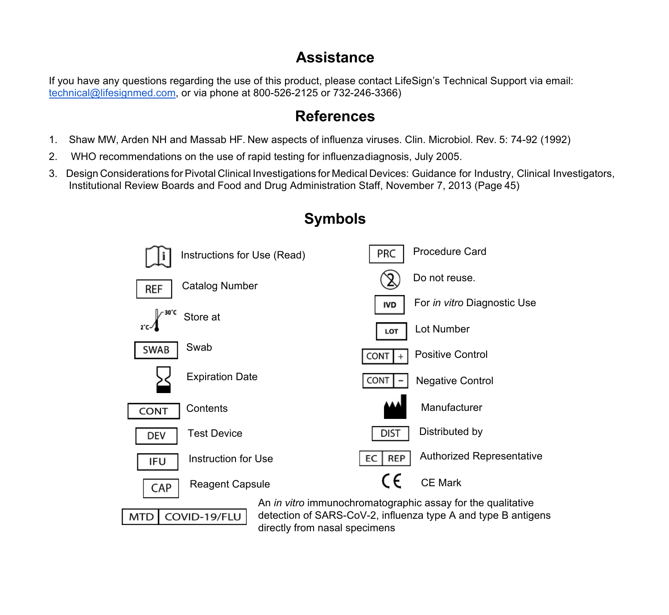## **Assistance**

If you have any questions regarding the use of this product, please contact LifeSign's Technical Support via email: technical@lifesignmed.com, or via phone at 800-526-2125 or 732-246-3366)

# **References**

- 1. Shaw MW, Arden NH and Massab HF. New aspects of influenza viruses. Clin. Microbiol. Rev. 5: 74-92 (1992)
- 2. WHO recommendations on the use of rapid testing for influenzadiagnosis, July 2005.
- 3. Design Considerations forPivotal Clinical Investigations for Medical Devices: Guidance for Industry, Clinical Investigators, Institutional Review Boards and Food and Drug Administration Staff, November 7, 2013 (Page 45)



# **Symbols**

detection of SARS-CoV-2, influenza type A and type B antigens directly from nasal specimens